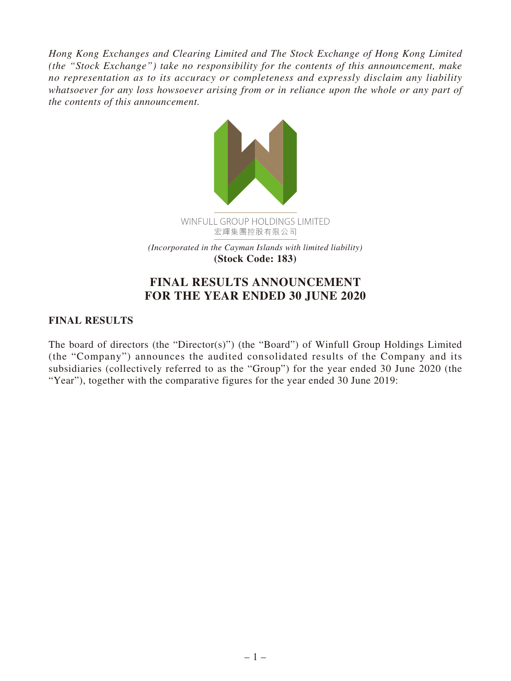*Hong Kong Exchanges and Clearing Limited and The Stock Exchange of Hong Kong Limited (the "Stock Exchange") take no responsibility for the contents of this announcement, make no representation as to its accuracy or completeness and expressly disclaim any liability whatsoever for any loss howsoever arising from or in reliance upon the whole or any part of the contents of this announcement.*



# **FINAL RESULTS ANNOUNCEMENT FOR THE YEAR ENDED 30 JUNE 2020**

# **FINAL RESULTS**

The board of directors (the "Director(s)") (the "Board") of Winfull Group Holdings Limited (the "Company") announces the audited consolidated results of the Company and its subsidiaries (collectively referred to as the "Group") for the year ended 30 June 2020 (the "Year"), together with the comparative figures for the year ended 30 June 2019: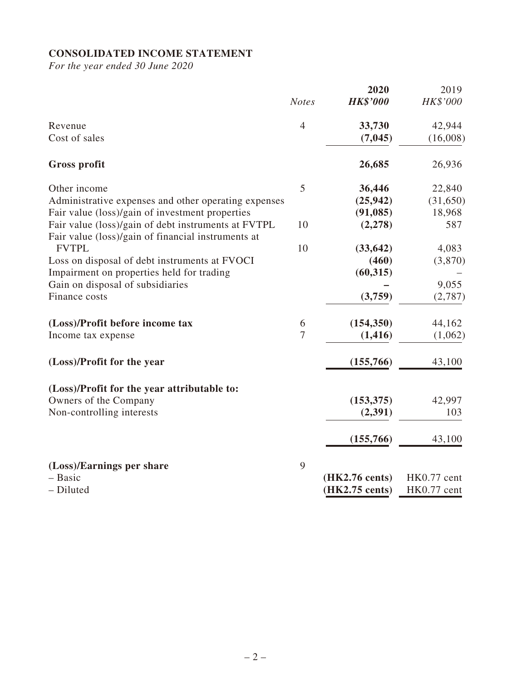# **CONSOLIDATED INCOME STATEMENT**

*For the year ended 30 June 2020*

|                                                                                                           | <b>Notes</b>   | 2020<br><b>HK\$'000</b> | 2019<br>HK\$'000 |
|-----------------------------------------------------------------------------------------------------------|----------------|-------------------------|------------------|
|                                                                                                           |                |                         |                  |
| Revenue                                                                                                   | $\overline{4}$ | 33,730                  | 42,944           |
| Cost of sales                                                                                             |                | (7,045)                 | (16,008)         |
| <b>Gross profit</b>                                                                                       |                | 26,685                  | 26,936           |
| Other income                                                                                              | 5              | 36,446                  | 22,840           |
| Administrative expenses and other operating expenses                                                      |                | (25, 942)               | (31,650)         |
| Fair value (loss)/gain of investment properties                                                           |                | (91, 085)               | 18,968           |
| Fair value (loss)/gain of debt instruments at FVTPL<br>Fair value (loss)/gain of financial instruments at | 10             | (2,278)                 | 587              |
| <b>FVTPL</b>                                                                                              | 10             | (33, 642)               | 4,083            |
| Loss on disposal of debt instruments at FVOCI                                                             |                | (460)                   | (3,870)          |
| Impairment on properties held for trading                                                                 |                | (60, 315)               |                  |
| Gain on disposal of subsidiaries                                                                          |                |                         | 9,055            |
| Finance costs                                                                                             |                | (3,759)                 | (2,787)          |
| (Loss)/Profit before income tax                                                                           | 6              | (154, 350)              | 44,162           |
| Income tax expense                                                                                        | $\tau$         | (1, 416)                | (1,062)          |
| (Loss)/Profit for the year                                                                                |                | (155,766)               | 43,100           |
| (Loss)/Profit for the year attributable to:                                                               |                |                         |                  |
| Owners of the Company                                                                                     |                | (153, 375)              | 42,997           |
| Non-controlling interests                                                                                 |                | (2, 391)                | 103              |
|                                                                                                           |                | (155,766)               | 43,100           |
| (Loss)/Earnings per share                                                                                 | 9              |                         |                  |
| - Basic                                                                                                   |                | (HK2.76 cents)          | HK0.77 cent      |
| - Diluted                                                                                                 |                | (HK2.75 cents)          | HK0.77 cent      |
|                                                                                                           |                |                         |                  |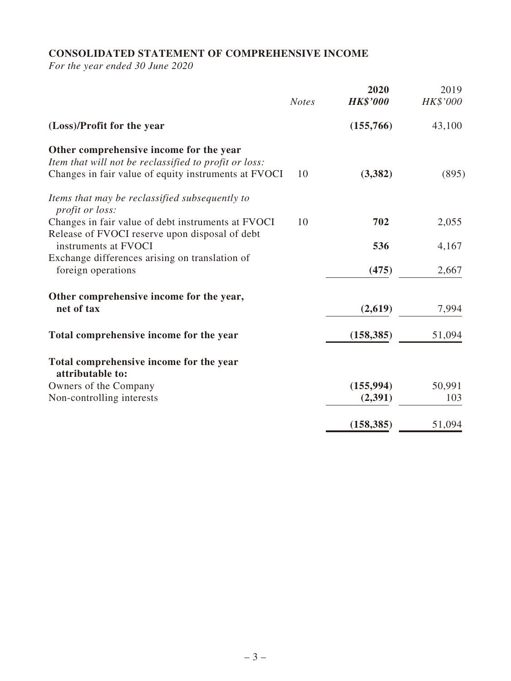# **CONSOLIDATED STATEMENT OF COMPREHENSIVE INCOME**

*For the year ended 30 June 2020*

|                                                                                                                                                          | <b>Notes</b> | 2020<br><b>HK\$'000</b> | 2019<br>HK\$'000 |
|----------------------------------------------------------------------------------------------------------------------------------------------------------|--------------|-------------------------|------------------|
| (Loss)/Profit for the year                                                                                                                               |              | (155,766)               | 43,100           |
| Other comprehensive income for the year<br>Item that will not be reclassified to profit or loss:<br>Changes in fair value of equity instruments at FVOCI | 10           | (3, 382)                | (895)            |
| Items that may be reclassified subsequently to<br>profit or loss:                                                                                        |              |                         |                  |
| Changes in fair value of debt instruments at FVOCI<br>Release of FVOCI reserve upon disposal of debt                                                     | 10           | 702                     | 2,055            |
| instruments at FVOCI                                                                                                                                     |              | 536                     | 4,167            |
| Exchange differences arising on translation of<br>foreign operations                                                                                     |              | (475)                   | 2,667            |
| Other comprehensive income for the year,<br>net of tax                                                                                                   |              | (2,619)                 | 7,994            |
| Total comprehensive income for the year                                                                                                                  |              | (158, 385)              | 51,094           |
| Total comprehensive income for the year<br>attributable to:                                                                                              |              |                         |                  |
| Owners of the Company                                                                                                                                    |              | (155, 994)              | 50,991           |
| Non-controlling interests                                                                                                                                |              | (2,391)                 | 103              |
|                                                                                                                                                          |              | (158, 385)              | 51,094           |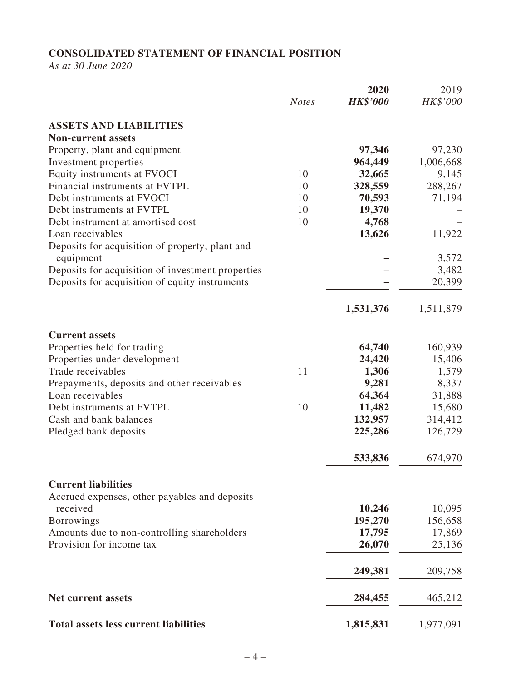# **CONSOLIDATED STATEMENT OF FINANCIAL POSITION**

*As at 30 June 2020*

|                                                                 |              | 2020            | 2019           |
|-----------------------------------------------------------------|--------------|-----------------|----------------|
|                                                                 | <b>Notes</b> | <b>HK\$'000</b> | HK\$'000       |
| <b>ASSETS AND LIABILITIES</b>                                   |              |                 |                |
| <b>Non-current assets</b>                                       |              |                 |                |
| Property, plant and equipment                                   |              | 97,346          | 97,230         |
| Investment properties                                           |              | 964,449         | 1,006,668      |
| Equity instruments at FVOCI                                     | 10           | 32,665          | 9,145          |
| Financial instruments at FVTPL                                  | 10           | 328,559         | 288,267        |
| Debt instruments at FVOCI                                       | 10           | 70,593          | 71,194         |
| Debt instruments at FVTPL                                       | 10           | 19,370          |                |
| Debt instrument at amortised cost                               | 10           | 4,768           |                |
| Loan receivables                                                |              | 13,626          | 11,922         |
| Deposits for acquisition of property, plant and                 |              |                 |                |
| equipment                                                       |              |                 | 3,572          |
| Deposits for acquisition of investment properties               |              |                 | 3,482          |
| Deposits for acquisition of equity instruments                  |              |                 | 20,399         |
|                                                                 |              | 1,531,376       | 1,511,879      |
|                                                                 |              |                 |                |
| <b>Current assets</b>                                           |              |                 |                |
| Properties held for trading                                     |              | 64,740          | 160,939        |
| Properties under development<br>Trade receivables               | 11           | 24,420          | 15,406         |
|                                                                 |              | 1,306<br>9,281  | 1,579<br>8,337 |
| Prepayments, deposits and other receivables<br>Loan receivables |              | 64,364          |                |
| Debt instruments at FVTPL                                       | 10           |                 | 31,888         |
| Cash and bank balances                                          |              | 11,482          | 15,680         |
|                                                                 |              | 132,957         | 314,412        |
| Pledged bank deposits                                           |              | 225,286         | 126,729        |
|                                                                 |              | 533,836         | 674,970        |
| <b>Current liabilities</b>                                      |              |                 |                |
| Accrued expenses, other payables and deposits                   |              |                 |                |
| received                                                        |              | 10,246          | 10,095         |
| Borrowings                                                      |              | 195,270         | 156,658        |
| Amounts due to non-controlling shareholders                     |              | 17,795          | 17,869         |
| Provision for income tax                                        |              | 26,070          | 25,136         |
|                                                                 |              | 249,381         | 209,758        |
| <b>Net current assets</b>                                       |              | 284,455         | 465,212        |
| <b>Total assets less current liabilities</b>                    |              | 1,815,831       | 1,977,091      |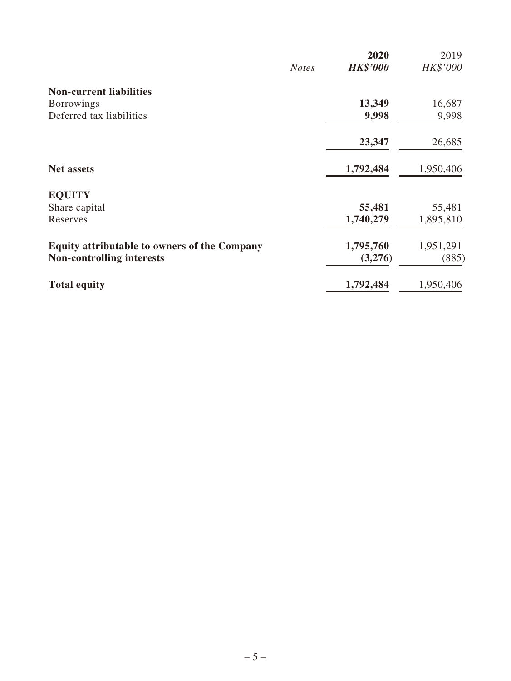|                                                     |              | 2020            | 2019      |
|-----------------------------------------------------|--------------|-----------------|-----------|
|                                                     | <b>Notes</b> | <b>HK\$'000</b> | HK\$'000  |
| <b>Non-current liabilities</b>                      |              |                 |           |
| <b>Borrowings</b>                                   |              | 13,349          | 16,687    |
| Deferred tax liabilities                            |              | 9,998           | 9,998     |
|                                                     |              | 23,347          | 26,685    |
| <b>Net assets</b>                                   |              | 1,792,484       | 1,950,406 |
| <b>EQUITY</b>                                       |              |                 |           |
| Share capital                                       |              | 55,481          | 55,481    |
| Reserves                                            |              | 1,740,279       | 1,895,810 |
| <b>Equity attributable to owners of the Company</b> |              | 1,795,760       | 1,951,291 |
| <b>Non-controlling interests</b>                    |              | (3,276)         | (885)     |
| <b>Total equity</b>                                 |              | 1,792,484       | 1,950,406 |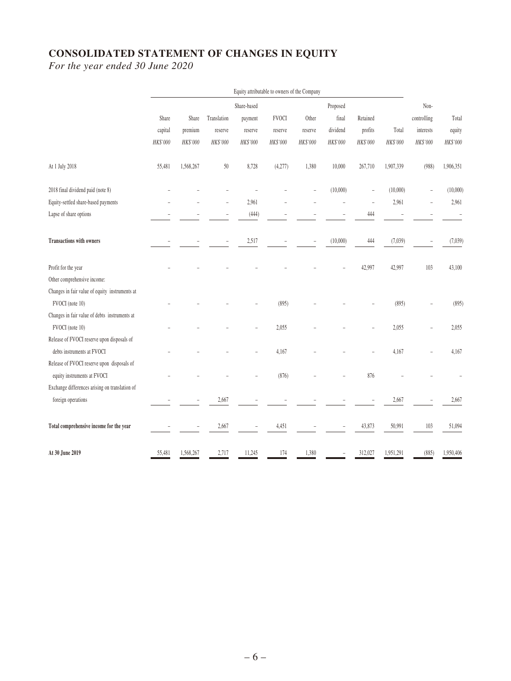# **CONSOLIDATED STATEMENT OF CHANGES IN EQUITY**

*For the year ended 30 June 2020*

|                                                | Equity attributable to owners of the Company |           |                          |             |              |          |          |            |           |             |           |
|------------------------------------------------|----------------------------------------------|-----------|--------------------------|-------------|--------------|----------|----------|------------|-----------|-------------|-----------|
|                                                |                                              |           |                          | Share-based |              |          | Proposed |            |           | Non-        |           |
|                                                | Share                                        | Share     | Translation              | payment     | <b>FVOCI</b> | Other    | final    | Retained   |           | controlling | Total     |
|                                                | capital                                      | premium   | reserve                  | reserve     | reserve      | reserve  | dividend | profits    | Total     | interests   | equity    |
|                                                | HK\$'000                                     | HK\$'000  | HK\$'000                 | HK\$'000    | HK\$'000     | HK\$'000 | HK\$'000 | $HK\$ '000 | HK\$'000  | HK\$'000    | HK\$'000  |
| At 1 July 2018                                 | 55,481                                       | 1,568,267 | 50                       | 8,728       | (4,277)      | 1,380    | 10,000   | 267,710    | 1,907,339 | (988)       | 1,906,351 |
| 2018 final dividend paid (note 8)              |                                              |           |                          |             |              |          | (10,000) | J.         | (10,000)  |             | (10,000)  |
| Equity-settled share-based payments            |                                              |           |                          | 2,961       |              |          |          | ÷          | 2,961     |             | 2,961     |
| Lapse of share options                         |                                              |           | $\overline{\phantom{a}}$ | (444)       |              |          |          | 444        |           |             |           |
| <b>Transactions with owners</b>                |                                              |           | $\overline{a}$           | 2,517       |              |          | (10,000) | 444        | (7,039)   |             | (7, 039)  |
| Profit for the year                            |                                              |           |                          |             |              |          |          | 42,997     | 42,997    | 103         | 43,100    |
| Other comprehensive income:                    |                                              |           |                          |             |              |          |          |            |           |             |           |
| Changes in fair value of equity instruments at |                                              |           |                          |             |              |          |          |            |           |             |           |
| FVOCI (note 10)                                |                                              |           |                          |             | (895)        |          |          |            | (895)     |             | (895)     |
| Changes in fair value of debts instruments at  |                                              |           |                          |             |              |          |          |            |           |             |           |
| FVOCI (note 10)                                |                                              |           |                          |             | 2,055        |          |          |            | 2,055     |             | 2,055     |
| Release of FVOCI reserve upon disposals of     |                                              |           |                          |             |              |          |          |            |           |             |           |
| debts instruments at FVOCI                     |                                              |           |                          |             | 4,167        |          |          |            | 4,167     |             | 4,167     |
| Release of FVOCI reserve upon disposals of     |                                              |           |                          |             |              |          |          |            |           |             |           |
| equity instruments at FVOCI                    |                                              |           |                          |             | (876)        |          |          | 876        |           |             |           |
| Exchange differences arising on translation of |                                              |           |                          |             |              |          |          |            |           |             |           |
| foreign operations                             |                                              |           | 2,667                    |             |              |          |          |            | 2,667     |             | 2,667     |
| Total comprehensive income for the year        |                                              |           | 2,667                    |             | 4,451        |          |          | 43,873     | 50,991    | 103         | 51,094    |
| At 30 June 2019                                | 55,481                                       | 1,568,267 | 2,717                    | 11,245      | 174          | 1,380    |          | 312,027    | 1,951,291 | (885)       | 1,950,406 |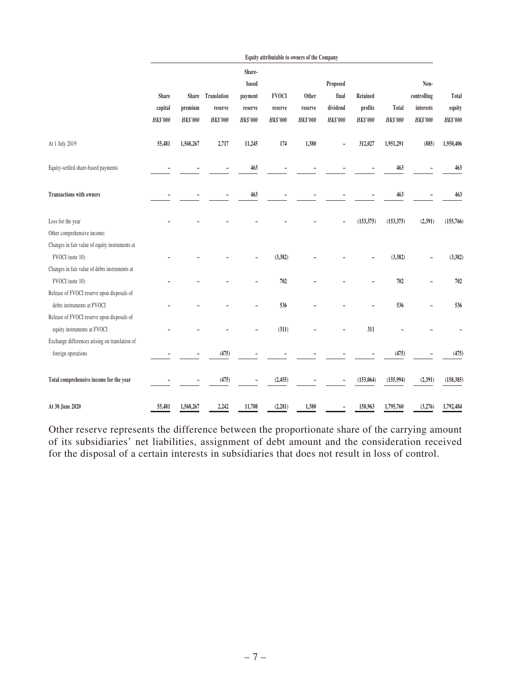|                                                | Equity attributable to owners of the Company |           |                   |                 |                 |                 |                 |                 |                 |             |                 |
|------------------------------------------------|----------------------------------------------|-----------|-------------------|-----------------|-----------------|-----------------|-----------------|-----------------|-----------------|-------------|-----------------|
|                                                |                                              |           |                   | Share-          |                 |                 |                 |                 |                 |             |                 |
|                                                |                                              |           |                   | based           |                 |                 | Proposed        |                 |                 | Non-        |                 |
|                                                | Share                                        |           | Share Translation | payment         | <b>FVOCI</b>    | Other           | final           | Retained        |                 | controlling | Total           |
|                                                | capital                                      | premium   | reserve           | reserve         | reserve         | reserve         | dividend        | profits         | Total           | interests   | equity          |
|                                                | <b>HK\$'000</b>                              | HK\$'000  | <b>HK\$'000</b>   | <b>HK\$'000</b> | <b>HK\$'000</b> | <b>HK\$'000</b> | <b>HK\$'000</b> | <b>HK\$'000</b> | <b>HK\$'000</b> | HK\$'000    | <b>HK\$'000</b> |
| At 1 July 2019                                 | 55,481                                       | 1,568,267 | 2,717             | 11,245          | 174             | 1,380           |                 | 312,027         | 1,951,291       | (885)       | 1,950,406       |
| Equity-settled share-based payments            |                                              |           |                   | 463             |                 |                 |                 |                 | 463             |             | 463             |
| <b>Transactions with owners</b>                |                                              |           |                   | 463             |                 |                 |                 |                 | 463             |             | 463             |
| Loss for the year                              |                                              |           |                   |                 |                 |                 |                 | (153, 375)      | (153, 375)      | (2, 391)    | (155,766)       |
| Other comprehensive income:                    |                                              |           |                   |                 |                 |                 |                 |                 |                 |             |                 |
| Changes in fair value of equity instruments at |                                              |           |                   |                 |                 |                 |                 |                 |                 |             |                 |
| FVOCI (note 10)                                |                                              |           |                   |                 | (3, 382)        |                 |                 |                 | (3, 382)        |             | (3, 382)        |
| Changes in fair value of debts instruments at  |                                              |           |                   |                 |                 |                 |                 |                 |                 |             |                 |
| FVOCI (note 10)                                |                                              |           |                   |                 | 702             |                 |                 |                 | 702             |             | 702             |
| Release of FVOCI reserve upon disposals of     |                                              |           |                   |                 |                 |                 |                 |                 |                 |             |                 |
| debts instruments at FVOCI                     |                                              |           |                   |                 | 536             |                 |                 |                 | 536             |             | 536             |
| Release of FVOCI reserve upon disposals of     |                                              |           |                   |                 |                 |                 |                 |                 |                 |             |                 |
| equity instruments at FVOCI                    |                                              |           |                   |                 | (311)           |                 |                 | 311             |                 |             |                 |
| Exchange differences arising on translation of |                                              |           |                   |                 |                 |                 |                 |                 |                 |             |                 |
| foreign operations                             |                                              |           | (475)             |                 |                 |                 |                 |                 | (475)           |             | (475)           |
| Total comprehensive income for the year        |                                              |           | (475)             |                 | (2, 455)        |                 |                 | (153,064)       | (155, 994)      | (2, 391)    | (158, 385)      |
| At 30 June 2020                                | 55,481                                       | 1,568,267 | 2,242             | 11,708          | (2, 281)        | 1,380           |                 | 158,963         | 1,795,760       | (3,276)     | 1,792,484       |

Other reserve represents the difference between the proportionate share of the carrying amount of its subsidiaries' net liabilities, assignment of debt amount and the consideration received for the disposal of a certain interests in subsidiaries that does not result in loss of control.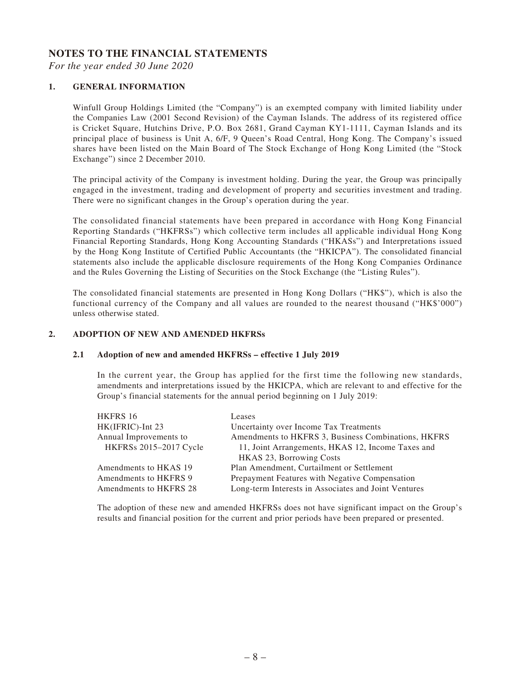#### **NOTES TO THE FINANCIAL STATEMENTS**

*For the year ended 30 June 2020*

#### **1. GENERAL INFORMATION**

Winfull Group Holdings Limited (the "Company") is an exempted company with limited liability under the Companies Law (2001 Second Revision) of the Cayman Islands. The address of its registered office is Cricket Square, Hutchins Drive, P.O. Box 2681, Grand Cayman KY1-1111, Cayman Islands and its principal place of business is Unit A, 6/F, 9 Queen's Road Central, Hong Kong. The Company's issued shares have been listed on the Main Board of The Stock Exchange of Hong Kong Limited (the "Stock Exchange") since 2 December 2010.

The principal activity of the Company is investment holding. During the year, the Group was principally engaged in the investment, trading and development of property and securities investment and trading. There were no significant changes in the Group's operation during the year.

The consolidated financial statements have been prepared in accordance with Hong Kong Financial Reporting Standards ("HKFRSs") which collective term includes all applicable individual Hong Kong Financial Reporting Standards, Hong Kong Accounting Standards ("HKASs") and Interpretations issued by the Hong Kong Institute of Certified Public Accountants (the "HKICPA"). The consolidated financial statements also include the applicable disclosure requirements of the Hong Kong Companies Ordinance and the Rules Governing the Listing of Securities on the Stock Exchange (the "Listing Rules").

The consolidated financial statements are presented in Hong Kong Dollars ("HK\$"), which is also the functional currency of the Company and all values are rounded to the nearest thousand ("HK\$'000") unless otherwise stated.

#### **2. ADOPTION OF NEW AND AMENDED HKFRSs**

#### **2.1 Adoption of new and amended HKFRSs – effective 1 July 2019**

In the current year, the Group has applied for the first time the following new standards, amendments and interpretations issued by the HKICPA, which are relevant to and effective for the Group's financial statements for the annual period beginning on 1 July 2019:

| HKFRS 16               | Leases                                               |
|------------------------|------------------------------------------------------|
| HK(IFRIC)-Int 23       | Uncertainty over Income Tax Treatments               |
| Annual Improvements to | Amendments to HKFRS 3, Business Combinations, HKFRS  |
| HKFRSs 2015-2017 Cycle | 11, Joint Arrangements, HKAS 12, Income Taxes and    |
|                        | HKAS 23, Borrowing Costs                             |
| Amendments to HKAS 19  | Plan Amendment, Curtailment or Settlement            |
| Amendments to HKFRS 9  | Prepayment Features with Negative Compensation       |
| Amendments to HKFRS 28 | Long-term Interests in Associates and Joint Ventures |
|                        |                                                      |

The adoption of these new and amended HKFRSs does not have significant impact on the Group's results and financial position for the current and prior periods have been prepared or presented.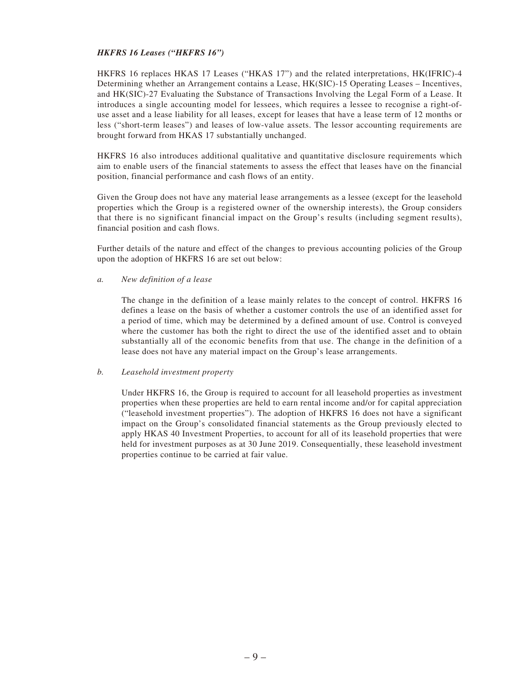#### *HKFRS 16 Leases ("HKFRS 16")*

HKFRS 16 replaces HKAS 17 Leases ("HKAS 17") and the related interpretations, HK(IFRIC)-4 Determining whether an Arrangement contains a Lease, HK(SIC)-15 Operating Leases – Incentives, and HK(SIC)-27 Evaluating the Substance of Transactions Involving the Legal Form of a Lease. It introduces a single accounting model for lessees, which requires a lessee to recognise a right-ofuse asset and a lease liability for all leases, except for leases that have a lease term of 12 months or less ("short-term leases") and leases of low-value assets. The lessor accounting requirements are brought forward from HKAS 17 substantially unchanged.

HKFRS 16 also introduces additional qualitative and quantitative disclosure requirements which aim to enable users of the financial statements to assess the effect that leases have on the financial position, financial performance and cash flows of an entity.

Given the Group does not have any material lease arrangements as a lessee (except for the leasehold properties which the Group is a registered owner of the ownership interests), the Group considers that there is no significant financial impact on the Group's results (including segment results), financial position and cash flows.

Further details of the nature and effect of the changes to previous accounting policies of the Group upon the adoption of HKFRS 16 are set out below:

#### *a. New definition of a lease*

The change in the definition of a lease mainly relates to the concept of control. HKFRS 16 defines a lease on the basis of whether a customer controls the use of an identified asset for a period of time, which may be determined by a defined amount of use. Control is conveyed where the customer has both the right to direct the use of the identified asset and to obtain substantially all of the economic benefits from that use. The change in the definition of a lease does not have any material impact on the Group's lease arrangements.

#### *b. Leasehold investment property*

Under HKFRS 16, the Group is required to account for all leasehold properties as investment properties when these properties are held to earn rental income and/or for capital appreciation ("leasehold investment properties"). The adoption of HKFRS 16 does not have a significant impact on the Group's consolidated financial statements as the Group previously elected to apply HKAS 40 Investment Properties, to account for all of its leasehold properties that were held for investment purposes as at 30 June 2019. Consequentially, these leasehold investment properties continue to be carried at fair value.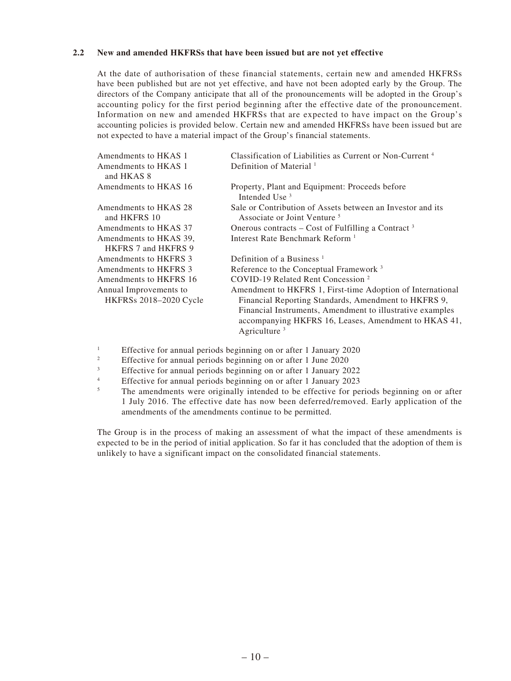#### **2.2 New and amended HKFRSs that have been issued but are not yet effective**

At the date of authorisation of these financial statements, certain new and amended HKFRSs have been published but are not yet effective, and have not been adopted early by the Group. The directors of the Company anticipate that all of the pronouncements will be adopted in the Group's accounting policy for the first period beginning after the effective date of the pronouncement. Information on new and amended HKFRSs that are expected to have impact on the Group's accounting policies is provided below. Certain new and amended HKFRSs have been issued but are not expected to have a material impact of the Group's financial statements.

| Amendments to HKAS 1       | Classification of Liabilities as Current or Non-Current <sup>4</sup>                                                                 |
|----------------------------|--------------------------------------------------------------------------------------------------------------------------------------|
| Amendments to HKAS 1       | Definition of Material <sup>1</sup>                                                                                                  |
| and HKAS 8                 |                                                                                                                                      |
| Amendments to HKAS 16      | Property, Plant and Equipment: Proceeds before<br>Intended Use <sup>3</sup>                                                          |
| Amendments to HKAS 28      | Sale or Contribution of Assets between an Investor and its                                                                           |
| and HKFRS 10               | Associate or Joint Venture <sup>5</sup>                                                                                              |
| Amendments to HKAS 37      | Onerous contracts – Cost of Fulfilling a Contract <sup>3</sup>                                                                       |
| Amendments to HKAS 39,     | Interest Rate Benchmark Reform <sup>1</sup>                                                                                          |
| <b>HKFRS 7 and HKFRS 9</b> |                                                                                                                                      |
| Amendments to HKFRS 3      | Definition of a Business $1$                                                                                                         |
| Amendments to HKFRS 3      | Reference to the Conceptual Framework <sup>3</sup>                                                                                   |
| Amendments to HKFRS 16     | COVID-19 Related Rent Concession <sup>2</sup>                                                                                        |
| Annual Improvements to     | Amendment to HKFRS 1, First-time Adoption of International                                                                           |
| HKFRSs 2018-2020 Cycle     | Financial Reporting Standards, Amendment to HKFRS 9,                                                                                 |
|                            | Financial Instruments, Amendment to illustrative examples<br>accompanying HKFRS 16, Leases, Amendment to HKAS 41,<br>Agriculture $3$ |

1 Effective for annual periods beginning on or after 1 January 2020

2 Effective for annual periods beginning on or after 1 June 2020

3 Effective for annual periods beginning on or after 1 January 2022

4 Effective for annual periods beginning on or after 1 January 2023

5 The amendments were originally intended to be effective for periods beginning on or after 1 July 2016. The effective date has now been deferred/removed. Early application of the amendments of the amendments continue to be permitted.

The Group is in the process of making an assessment of what the impact of these amendments is expected to be in the period of initial application. So far it has concluded that the adoption of them is unlikely to have a significant impact on the consolidated financial statements.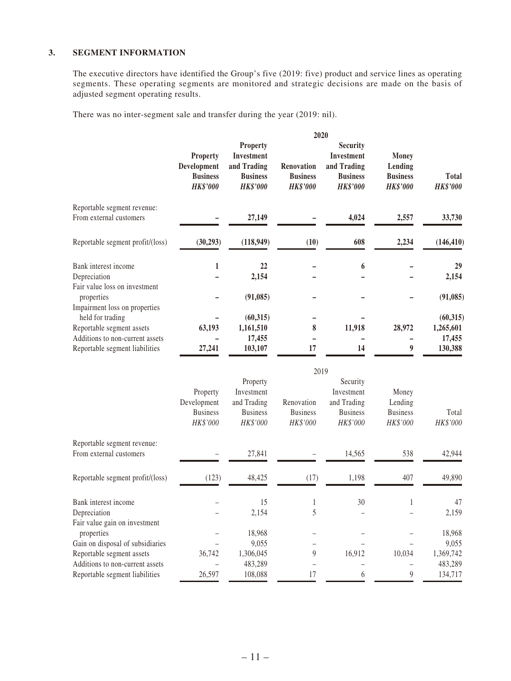#### **3. SEGMENT INFORMATION**

The executive directors have identified the Group's five (2019: five) product and service lines as operating segments. These operating segments are monitored and strategic decisions are made on the basis of adjusted segment operating results.

There was no inter-segment sale and transfer during the year (2019: nil).

|                                                                                                                                                     |                                                                      |                                                                                    | 2020                                                                   |                                                                                           |                                                               |                                             |  |  |  |  |
|-----------------------------------------------------------------------------------------------------------------------------------------------------|----------------------------------------------------------------------|------------------------------------------------------------------------------------|------------------------------------------------------------------------|-------------------------------------------------------------------------------------------|---------------------------------------------------------------|---------------------------------------------|--|--|--|--|
|                                                                                                                                                     | <b>Property</b><br>Development<br><b>Business</b><br><b>HK\$'000</b> | <b>Property</b><br>Investment<br>and Trading<br><b>Business</b><br><b>HK\$'000</b> | Renovation<br><b>Business</b><br><b>HK\$'000</b>                       | <b>Security</b><br><b>Investment</b><br>and Trading<br><b>Business</b><br><b>HK\$'000</b> | <b>Money</b><br>Lending<br><b>Business</b><br><b>HK\$'000</b> | <b>Total</b><br><b>HK\$'000</b>             |  |  |  |  |
| Reportable segment revenue:<br>From external customers                                                                                              |                                                                      | 27,149                                                                             |                                                                        | 4,024                                                                                     | 2,557                                                         | 33,730                                      |  |  |  |  |
| Reportable segment profit/(loss)                                                                                                                    | (30, 293)                                                            | (118, 949)                                                                         | (10)                                                                   | 608                                                                                       | 2,234                                                         | (146, 410)                                  |  |  |  |  |
| Bank interest income<br>Depreciation<br>Fair value loss on investment                                                                               | $\mathbf{1}$                                                         | 22<br>2,154                                                                        |                                                                        | 6                                                                                         |                                                               | 29<br>2,154                                 |  |  |  |  |
| properties                                                                                                                                          |                                                                      | (91,085)                                                                           |                                                                        |                                                                                           |                                                               | (91, 085)                                   |  |  |  |  |
| Impairment loss on properties<br>held for trading<br>Reportable segment assets<br>Additions to non-current assets<br>Reportable segment liabilities | 63,193<br>27,241                                                     | (60, 315)<br>1,161,510<br>17,455<br>103,107                                        | 8<br>17                                                                | 11,918<br>$\overline{\phantom{0}}$<br>14                                                  | 28,972<br>$\overline{a}$<br>$\boldsymbol{9}$                  | (60, 315)<br>1,265,601<br>17,455<br>130,388 |  |  |  |  |
|                                                                                                                                                     |                                                                      | 2019                                                                               |                                                                        |                                                                                           |                                                               |                                             |  |  |  |  |
|                                                                                                                                                     | Property<br>Development<br><b>Business</b><br>HK\$'000               | Property<br>Investment<br>and Trading<br><b>Business</b><br>HK\$'000               | Renovation<br><b>Business</b><br>HK\$'000                              | Security<br>Investment<br>and Trading<br><b>Business</b><br>HK\$'000                      | Money<br>Lending<br><b>Business</b><br>HK\$'000               | Total<br>HK\$'000                           |  |  |  |  |
| Reportable segment revenue:<br>From external customers                                                                                              |                                                                      | 27,841                                                                             |                                                                        | 14,565                                                                                    | 538                                                           | 42,944                                      |  |  |  |  |
| Reportable segment profit/(loss)                                                                                                                    | (123)                                                                | 48,425                                                                             | (17)                                                                   | 1,198                                                                                     | 407                                                           | 49,890                                      |  |  |  |  |
| Bank interest income<br>Depreciation<br>Fair value gain on investment                                                                               |                                                                      | 15<br>2,154                                                                        | 1<br>5                                                                 | 30                                                                                        | 1                                                             | 47<br>2,159                                 |  |  |  |  |
| properties                                                                                                                                          |                                                                      | 18,968                                                                             |                                                                        |                                                                                           |                                                               | 18,968                                      |  |  |  |  |
| Gain on disposal of subsidiaries<br>Reportable segment assets<br>Additions to non-current assets                                                    | 36,742                                                               | 9,055<br>1,306,045<br>483,289                                                      | $\overline{\phantom{0}}$<br>$\overline{9}$<br>$\overline{\phantom{0}}$ | 16,912<br>$\overline{a}$                                                                  | 10,034<br>$\qquad \qquad -$                                   | 9,055<br>1,369,742<br>483,289               |  |  |  |  |
| Reportable segment liabilities                                                                                                                      | 26,597                                                               | 108,088                                                                            | 17                                                                     | 6                                                                                         | $\boldsymbol{9}$                                              | 134,717                                     |  |  |  |  |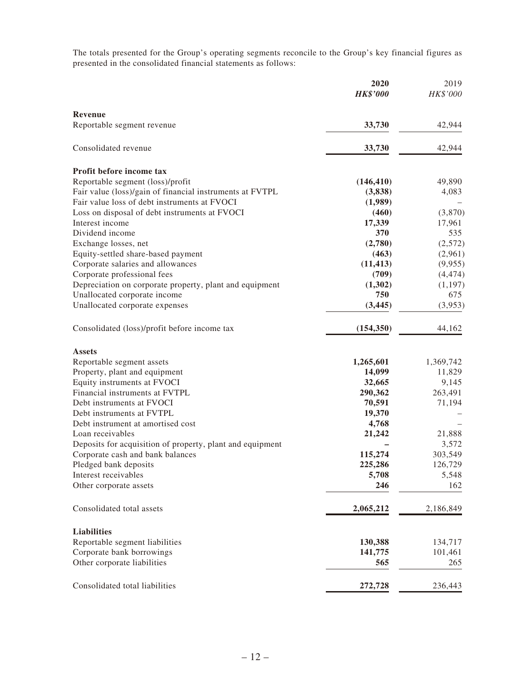The totals presented for the Group's operating segments reconcile to the Group's key financial figures as presented in the consolidated financial statements as follows:

|                                                           | 2020<br><b>HK\$'000</b> | 2019<br>HK\$'000 |
|-----------------------------------------------------------|-------------------------|------------------|
| Revenue                                                   |                         |                  |
| Reportable segment revenue                                | 33,730                  | 42,944           |
| Consolidated revenue                                      | 33,730                  | 42,944           |
| Profit before income tax                                  |                         |                  |
| Reportable segment (loss)/profit                          | (146, 410)              | 49,890           |
| Fair value (loss)/gain of financial instruments at FVTPL  | (3,838)                 | 4,083            |
| Fair value loss of debt instruments at FVOCI              | (1,989)                 |                  |
| Loss on disposal of debt instruments at FVOCI             | (460)                   | (3,870)          |
| Interest income                                           | 17,339                  | 17,961           |
| Dividend income                                           | 370                     | 535              |
| Exchange losses, net                                      | (2,780)                 | (2,572)          |
| Equity-settled share-based payment                        | (463)                   | (2,961)          |
| Corporate salaries and allowances                         | (11, 413)               | (9,955)          |
| Corporate professional fees                               | (709)                   | (4, 474)         |
| Depreciation on corporate property, plant and equipment   | (1,302)                 | (1,197)          |
| Unallocated corporate income                              | 750                     | 675              |
| Unallocated corporate expenses                            | (3, 445)                | (3,953)          |
| Consolidated (loss)/profit before income tax              | (154, 350)              | 44,162           |
| <b>Assets</b>                                             |                         |                  |
| Reportable segment assets                                 | 1,265,601               | 1,369,742        |
| Property, plant and equipment                             | 14,099                  | 11,829           |
| Equity instruments at FVOCI                               | 32,665                  | 9,145            |
| Financial instruments at FVTPL                            | 290,362                 | 263,491          |
| Debt instruments at FVOCI                                 | 70,591                  | 71,194           |
| Debt instruments at FVTPL                                 | 19,370                  |                  |
| Debt instrument at amortised cost                         | 4,768                   |                  |
| Loan receivables                                          | 21,242                  | 21,888           |
| Deposits for acquisition of property, plant and equipment |                         | 3,572            |
| Corporate cash and bank balances                          | 115,274                 | 303,549          |
| Pledged bank deposits                                     | 225,286                 | 126,729          |
| Interest receivables                                      | 5,708                   | 5,548            |
| Other corporate assets                                    | 246                     | 162              |
| Consolidated total assets                                 | 2,065,212               | 2,186,849        |
| <b>Liabilities</b>                                        |                         |                  |
| Reportable segment liabilities                            | 130,388                 | 134,717          |
| Corporate bank borrowings                                 | 141,775                 | 101,461          |
| Other corporate liabilities                               | 565                     | 265              |
| Consolidated total liabilities                            | 272,728                 | 236,443          |
|                                                           |                         |                  |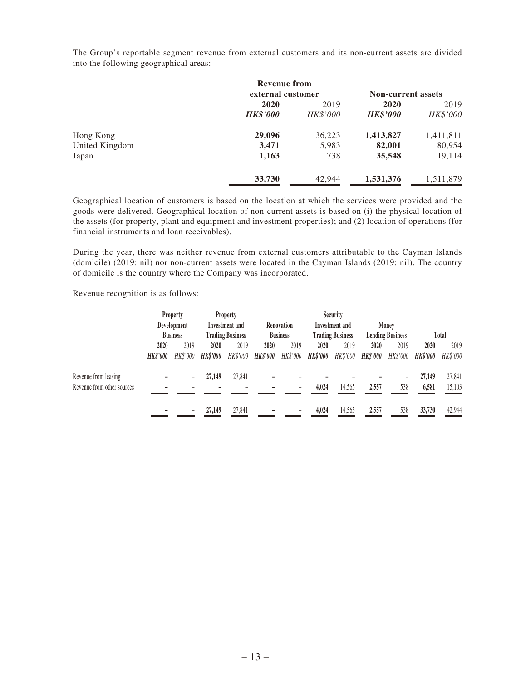The Group's reportable segment revenue from external customers and its non-current assets are divided into the following geographical areas:

|                | <b>Revenue from</b> |                 |                           |           |  |
|----------------|---------------------|-----------------|---------------------------|-----------|--|
|                | external customer   |                 | <b>Non-current assets</b> |           |  |
|                | 2020                | 2019            | 2020                      | 2019      |  |
|                | <b>HK\$'000</b>     | <b>HK\$'000</b> | <b>HK\$'000</b>           | HK\$'000  |  |
| Hong Kong      | 29,096              | 36,223          | 1,413,827                 | 1,411,811 |  |
| United Kingdom | 3,471               | 5,983           | 82,001                    | 80,954    |  |
| Japan          | 1,163               | 738             | 35,548                    | 19,114    |  |
|                | 33,730              | 42,944          | 1,531,376                 | 1,511,879 |  |

Geographical location of customers is based on the location at which the services were provided and the goods were delivered. Geographical location of non-current assets is based on (i) the physical location of the assets (for property, plant and equipment and investment properties); and (2) location of operations (for financial instruments and loan receivables).

During the year, there was neither revenue from external customers attributable to the Cayman Islands (domicile) (2019: nil) nor non-current assets were located in the Cayman Islands (2019: nil). The country of domicile is the country where the Company was incorporated.

Revenue recognition is as follows:

|                            | <b>Property</b> |                               | <b>Property</b>         |          |                                     | <b>Security</b> |                         |          |                         |          |                 |          |
|----------------------------|-----------------|-------------------------------|-------------------------|----------|-------------------------------------|-----------------|-------------------------|----------|-------------------------|----------|-----------------|----------|
|                            |                 | Development<br>Investment and |                         |          | <b>Investment</b> and<br>Renovation |                 |                         | Money    |                         |          |                 |          |
|                            | <b>Business</b> |                               | <b>Trading Business</b> |          | <b>Business</b>                     |                 | <b>Trading Business</b> |          | <b>Lending Business</b> |          | Total           |          |
|                            | 2020            | 2019                          | 2020                    | 2019     | 2020                                | 2019            | 2020                    | 2019     | 2020                    | 2019     | 2020            | 2019     |
|                            | <b>HK\$'000</b> | HK\$'000                      | <b>HK\$'000</b>         | HK\$'000 | <b>HK\$'000</b>                     | HK\$'000        | <b>HK\$'000</b>         | HK\$'000 | <b>HK\$'000</b>         | HK\$'000 | <b>HK\$'000</b> | HK\$'000 |
| Revenue from leasing       |                 | $\overline{\phantom{0}}$      | 27.149                  | 27.841   |                                     |                 |                         |          |                         |          | 27,149          | 27,841   |
| Revenue from other sources |                 |                               |                         |          |                                     |                 | 4,024                   | 14,565   | 2,557                   | 538      | 6,581           | 15,103   |
|                            |                 | $\overline{\phantom{0}}$      | 27,149                  | 27,841   |                                     |                 | 4.024                   | 14,565   | 2,557                   | 538      | 33,730          | 42,944   |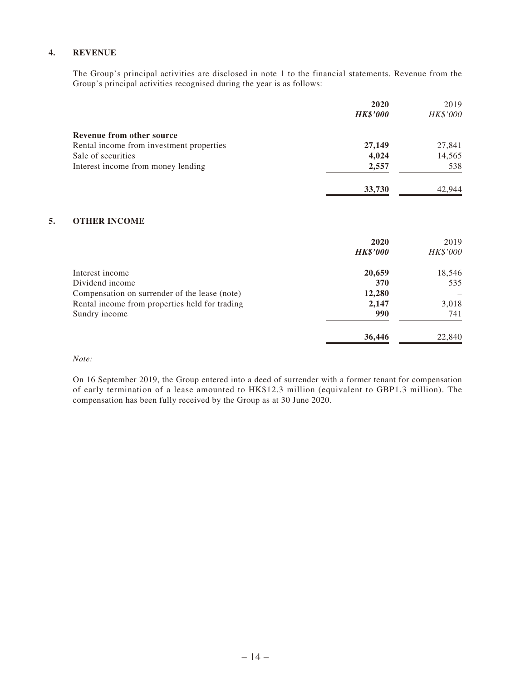#### **4. REVENUE**

The Group's principal activities are disclosed in note 1 to the financial statements. Revenue from the Group's principal activities recognised during the year is as follows:

|                                          | 2020            | 2019     |
|------------------------------------------|-----------------|----------|
|                                          | <b>HK\$'000</b> | HK\$'000 |
| Revenue from other source                |                 |          |
| Rental income from investment properties | 27,149          | 27,841   |
| Sale of securities                       | 4,024           | 14,565   |
| Interest income from money lending       | 2,557           | 538      |
|                                          | 33,730          | 42.944   |

#### **5. OTHER INCOME**

|                                                | 2020            | 2019     |
|------------------------------------------------|-----------------|----------|
|                                                | <b>HK\$'000</b> | HK\$'000 |
| Interest income                                | 20,659          | 18,546   |
| Dividend income                                | 370             | 535      |
| Compensation on surrender of the lease (note)  | 12,280          |          |
| Rental income from properties held for trading | 2,147           | 3,018    |
| Sundry income                                  | 990             | 741      |
|                                                | 36,446          | 22,840   |

#### *Note:*

On 16 September 2019, the Group entered into a deed of surrender with a former tenant for compensation of early termination of a lease amounted to HK\$12.3 million (equivalent to GBP1.3 million). The compensation has been fully received by the Group as at 30 June 2020.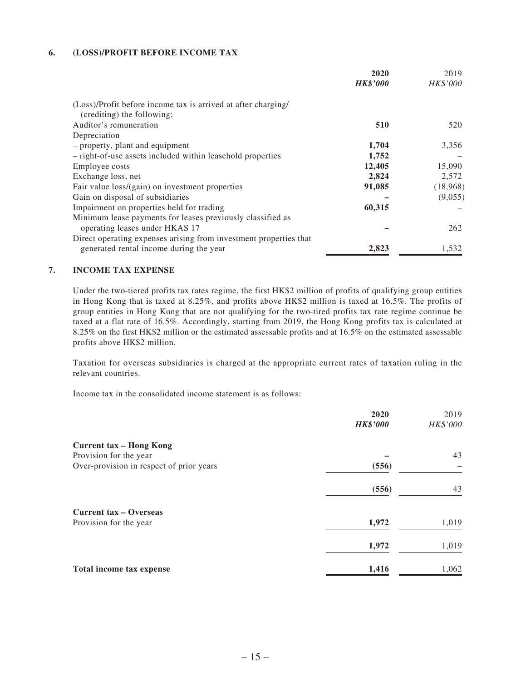#### **6. (LOSS)/PROFIT BEFORE INCOME TAX**

|                                                                   | 2020            | 2019            |
|-------------------------------------------------------------------|-----------------|-----------------|
|                                                                   | <b>HK\$'000</b> | <b>HK\$'000</b> |
| (Loss)/Profit before income tax is arrived at after charging/     |                 |                 |
| (crediting) the following:                                        |                 |                 |
| Auditor's remuneration                                            | 510             | 520             |
| Depreciation                                                      |                 |                 |
| - property, plant and equipment                                   | 1,704           | 3,356           |
| - right-of-use assets included within leasehold properties        | 1,752           |                 |
| Employee costs                                                    | 12,405          | 15,090          |
| Exchange loss, net                                                | 2,824           | 2,572           |
| Fair value loss/(gain) on investment properties                   | 91,085          | (18,968)        |
| Gain on disposal of subsidiaries                                  |                 | (9,055)         |
| Impairment on properties held for trading                         | 60,315          |                 |
| Minimum lease payments for leases previously classified as        |                 |                 |
| operating leases under HKAS 17                                    |                 | 262             |
| Direct operating expenses arising from investment properties that |                 |                 |
| generated rental income during the year                           | 2,823           | 1,532           |

#### **7. INCOME TAX EXPENSE**

Under the two-tiered profits tax rates regime, the first HK\$2 million of profits of qualifying group entities in Hong Kong that is taxed at 8.25%, and profits above HK\$2 million is taxed at 16.5%. The profits of group entities in Hong Kong that are not qualifying for the two-tired profits tax rate regime continue be taxed at a flat rate of 16.5%. Accordingly, starting from 2019, the Hong Kong profits tax is calculated at 8.25% on the first HK\$2 million or the estimated assessable profits and at 16.5% on the estimated assessable profits above HK\$2 million.

Taxation for overseas subsidiaries is charged at the appropriate current rates of taxation ruling in the relevant countries.

Income tax in the consolidated income statement is as follows:

|                                          | 2020            | 2019     |
|------------------------------------------|-----------------|----------|
|                                          | <b>HK\$'000</b> | HK\$'000 |
| <b>Current tax - Hong Kong</b>           |                 |          |
| Provision for the year                   |                 | 43       |
| Over-provision in respect of prior years | (556)           |          |
|                                          | (556)           | 43       |
| <b>Current tax - Overseas</b>            |                 |          |
| Provision for the year                   | 1,972           | 1,019    |
|                                          | 1,972           | 1,019    |
| Total income tax expense                 | 1,416           | 1,062    |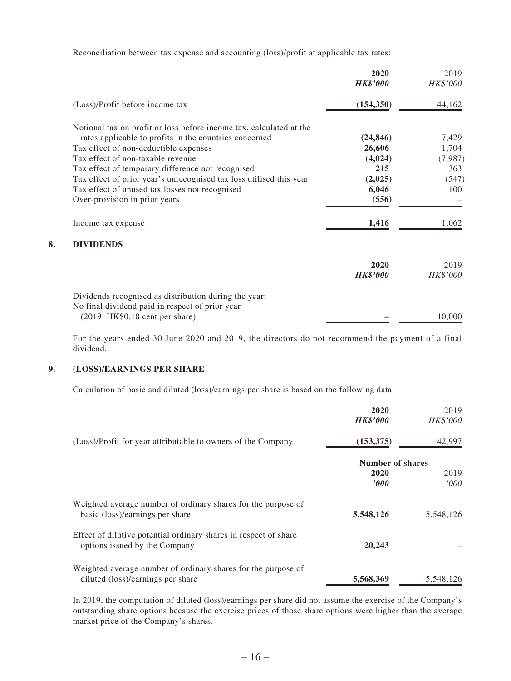Reconciliation between tax expense and accounting (loss)/profit at applicable tax rates:

|    |                                                                     | 2020<br><b>HK\$'000</b> | 2019<br>HK\$'000 |
|----|---------------------------------------------------------------------|-------------------------|------------------|
|    | (Loss)/Profit before income tax                                     | (154, 350)              | 44,162           |
|    | Notional tax on profit or loss before income tax, calculated at the |                         |                  |
|    | rates applicable to profits in the countries concerned              | (24, 846)               | 7,429            |
|    | Tax effect of non-deductible expenses                               | 26,606                  | 1,704            |
|    | Tax effect of non-taxable revenue                                   | (4,024)                 | (7,987)          |
|    | Tax effect of temporary difference not recognised                   | 215                     | 363              |
|    | Tax effect of prior year's unrecognised tax loss utilised this year | (2,025)                 | (547)            |
|    | Tax effect of unused tax losses not recognised                      | 6,046                   | 100              |
|    | Over-provision in prior years                                       | (556)                   |                  |
|    | Income tax expense                                                  | 1,416                   | 1,062            |
| 8. | <b>DIVIDENDS</b>                                                    |                         |                  |
|    |                                                                     | 2020                    | 2019             |
|    |                                                                     | <b>HK\$'000</b>         | <i>HK\$'000</i>  |
|    | Dividends recognised as distribution during the year:               |                         |                  |
|    | No final dividend paid in respect of prior year                     |                         |                  |
|    | (2019:HK\$0.18 cent per share)                                      |                         | 10,000           |

For the years ended 30 June 2020 and 2019, the directors do not recommend the payment of a final dividend.

#### **9. (LOSS)/EARNINGS PER SHARE**

Calculation of basic and diluted (loss)/earnings per share is based on the following data:

|                                                                  | 2020<br><b>HK\$'000</b> | 2019<br><b>HK\$'000</b> |
|------------------------------------------------------------------|-------------------------|-------------------------|
| (Loss)/Profit for year attributable to owners of the Company     | (153, 375)              | 42,997                  |
|                                                                  | Number of shares        |                         |
|                                                                  |                         |                         |
|                                                                  | 2020                    | 2019                    |
|                                                                  | <i><b>000</b></i>       | 000'                    |
| Weighted average number of ordinary shares for the purpose of    |                         |                         |
| basic (loss)/earnings per share                                  | 5,548,126               | 5,548,126               |
| Effect of dilutive potential ordinary shares in respect of share |                         |                         |
| options issued by the Company                                    | 20,243                  |                         |
| Weighted average number of ordinary shares for the purpose of    |                         |                         |
| diluted (loss)/earnings per share                                | 5,568,369               | 5,548,126               |
|                                                                  |                         |                         |

In 2019, the computation of diluted (loss)/earnings per share did not assume the exercise of the Company's outstanding share options because the exercise prices of those share options were higher than the average market price of the Company's shares.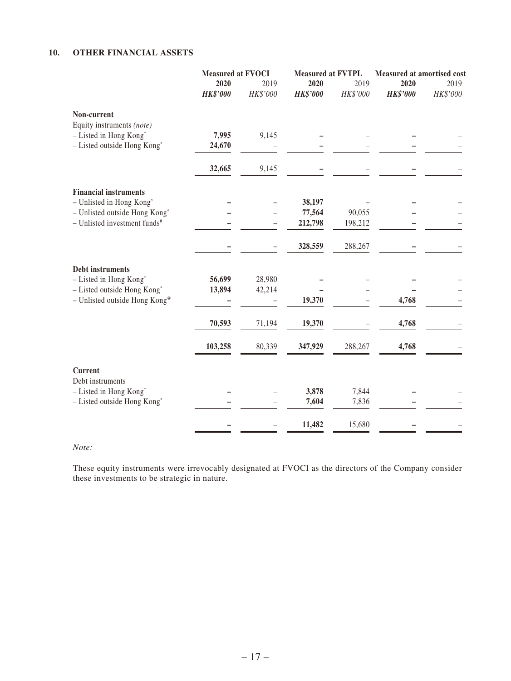#### **10. OTHER FINANCIAL ASSETS**

|                                            | Measured at FVOCI |          | <b>Measured at FVTPL</b> |          | <b>Measured at amortised cost</b> |          |
|--------------------------------------------|-------------------|----------|--------------------------|----------|-----------------------------------|----------|
|                                            | 2020              | 2019     | 2020                     |          | 2020                              | 2019     |
|                                            | <b>HK\$'000</b>   | HK\$'000 | <b>HK\$'000</b>          | HK\$'000 | <b>HK\$'000</b>                   | HK\$'000 |
| Non-current                                |                   |          |                          |          |                                   |          |
| Equity instruments (note)                  |                   |          |                          |          |                                   |          |
| - Listed in Hong Kong*                     | 7,995             | 9,145    |                          |          |                                   |          |
| - Listed outside Hong Kong*                | 24,670            |          |                          |          |                                   |          |
|                                            | 32,665            | 9,145    |                          |          |                                   |          |
| <b>Financial instruments</b>               |                   |          |                          |          |                                   |          |
| - Unlisted in Hong Kong <sup>^</sup>       |                   |          | 38,197                   |          |                                   |          |
| - Unlisted outside Hong Kong <sup>^</sup>  |                   |          | 77,564                   | 90,055   |                                   |          |
| $-$ Unlisted investment funds <sup>#</sup> |                   |          | 212,798                  | 198,212  |                                   |          |
|                                            |                   |          | 328,559                  | 288,267  |                                   |          |
| Debt instruments                           |                   |          |                          |          |                                   |          |
| - Listed in Hong Kong*                     | 56,699            | 28,980   |                          |          |                                   |          |
| - Listed outside Hong Kong*                | 13,894            | 42,214   |                          |          |                                   |          |
| - Unlisted outside Hong Kong <sup>®</sup>  |                   |          | 19,370                   |          | 4,768                             |          |
|                                            | 70,593            | 71,194   | 19,370                   |          | 4,768                             |          |
|                                            | 103,258           | 80,339   | 347,929                  | 288,267  | 4,768                             |          |
| Current                                    |                   |          |                          |          |                                   |          |
| Debt instruments                           |                   |          |                          |          |                                   |          |
| - Listed in Hong Kong*                     |                   |          | 3,878                    | 7,844    |                                   |          |
| - Listed outside Hong Kong*                |                   |          | 7,604                    | 7,836    |                                   |          |
|                                            |                   |          | 11,482                   | 15,680   |                                   |          |

*Note:*

These equity instruments were irrevocably designated at FVOCI as the directors of the Company consider these investments to be strategic in nature.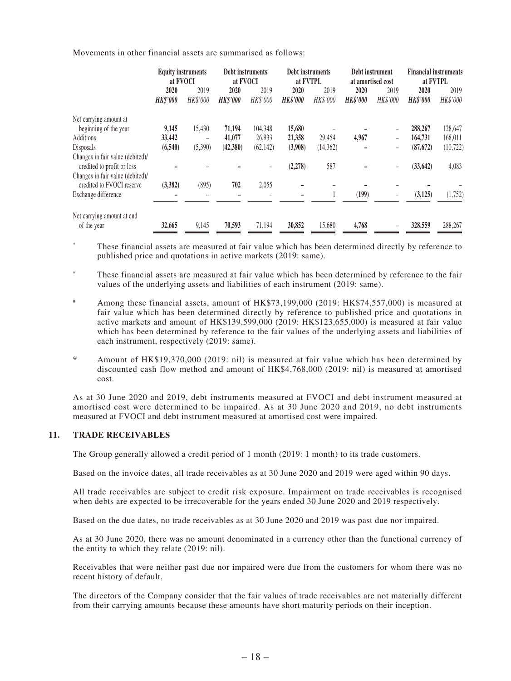Movements in other financial assets are summarised as follows:

|                                                                | at FVOCI                | <b>Equity instruments</b> | Debt instruments<br>at FVOCI |                         | <b>Debt instruments</b><br>at FVTPL |                         | Debt instrument<br>at amortised cost |                  | <b>Financial instruments</b><br>at FVTPL |                  |
|----------------------------------------------------------------|-------------------------|---------------------------|------------------------------|-------------------------|-------------------------------------|-------------------------|--------------------------------------|------------------|------------------------------------------|------------------|
|                                                                | 2020<br><b>HK\$'000</b> | 2019<br>HK\$'000          | 2020<br><b>HK\$'000</b>      | 2019<br><b>HK\$'000</b> | 2020<br><b>HK\$'000</b>             | 2019<br><b>HK\$'000</b> | 2020<br><b>HK\$'000</b>              | 2019<br>HK\$'000 | 2020<br><b>HK\$'000</b>                  | 2019<br>HK\$'000 |
| Net carrying amount at                                         |                         |                           |                              |                         |                                     |                         |                                      |                  |                                          |                  |
| beginning of the year                                          | 9,145                   | 15.430                    | 71,194                       | 104.348                 | 15,680                              |                         |                                      | -                | 288,267                                  | 128,647          |
| Additions                                                      | 33,442                  | -                         | 41,077                       | 26,933                  | 21,358                              | 29,454                  | 4,967                                | -                | 164,731                                  | 168,011          |
| Disposals                                                      | (6,540)                 | (5,390)                   | (42,380)                     | (62, 142)               | (3,908)                             | (14,362)                |                                      | -                | (87, 672)                                | (10, 722)        |
| Changes in fair value (debited)/<br>credited to profit or loss |                         |                           |                              | -                       | (2, 278)                            | 587                     |                                      | -                | (33, 642)                                | 4,083            |
| Changes in fair value (debited)/<br>credited to FVOCI reserve  | (3,382)                 | (895)                     | 702                          | 2,055                   |                                     |                         |                                      |                  |                                          |                  |
| Exchange difference                                            |                         |                           |                              |                         |                                     |                         | (199)                                |                  | (3, 125)                                 | (1,752)          |
| Net carrying amount at end<br>of the year                      | 32,665                  | 9,145                     | 70,593                       | 71,194                  | 30,852                              | 15,680                  | 4,768                                |                  | 328,559                                  | 288,267          |

\* These financial assets are measured at fair value which has been determined directly by reference to published price and quotations in active markets (2019: same).

^ These financial assets are measured at fair value which has been determined by reference to the fair values of the underlying assets and liabilities of each instrument (2019: same).

- # Among these financial assets, amount of HK\$73,199,000 (2019: HK\$74,557,000) is measured at fair value which has been determined directly by reference to published price and quotations in active markets and amount of HK\$139,599,000 (2019: HK\$123,655,000) is measured at fair value which has been determined by reference to the fair values of the underlying assets and liabilities of each instrument, respectively (2019: same).
- @ Amount of HK\$19,370,000 (2019: nil) is measured at fair value which has been determined by discounted cash flow method and amount of HK\$4,768,000 (2019: nil) is measured at amortised cost.

As at 30 June 2020 and 2019, debt instruments measured at FVOCI and debt instrument measured at amortised cost were determined to be impaired. As at 30 June 2020 and 2019, no debt instruments measured at FVOCI and debt instrument measured at amortised cost were impaired.

#### **11. TRADE RECEIVABLES**

The Group generally allowed a credit period of 1 month (2019: 1 month) to its trade customers.

Based on the invoice dates, all trade receivables as at 30 June 2020 and 2019 were aged within 90 days.

All trade receivables are subject to credit risk exposure. Impairment on trade receivables is recognised when debts are expected to be irrecoverable for the years ended 30 June 2020 and 2019 respectively.

Based on the due dates, no trade receivables as at 30 June 2020 and 2019 was past due nor impaired.

As at 30 June 2020, there was no amount denominated in a currency other than the functional currency of the entity to which they relate (2019: nil).

Receivables that were neither past due nor impaired were due from the customers for whom there was no recent history of default.

The directors of the Company consider that the fair values of trade receivables are not materially different from their carrying amounts because these amounts have short maturity periods on their inception.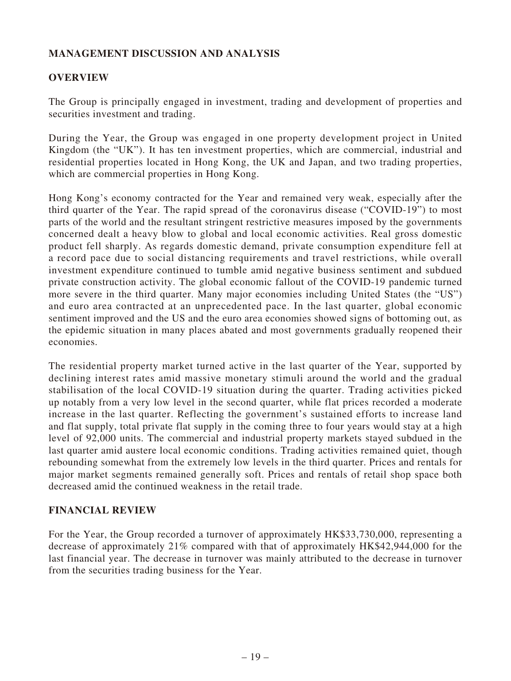# **MANAGEMENT DISCUSSION AND ANALYSIS**

## **OVERVIEW**

The Group is principally engaged in investment, trading and development of properties and securities investment and trading.

During the Year, the Group was engaged in one property development project in United Kingdom (the "UK"). It has ten investment properties, which are commercial, industrial and residential properties located in Hong Kong, the UK and Japan, and two trading properties, which are commercial properties in Hong Kong.

Hong Kong's economy contracted for the Year and remained very weak, especially after the third quarter of the Year. The rapid spread of the coronavirus disease ("COVID-19") to most parts of the world and the resultant stringent restrictive measures imposed by the governments concerned dealt a heavy blow to global and local economic activities. Real gross domestic product fell sharply. As regards domestic demand, private consumption expenditure fell at a record pace due to social distancing requirements and travel restrictions, while overall investment expenditure continued to tumble amid negative business sentiment and subdued private construction activity. The global economic fallout of the COVID-19 pandemic turned more severe in the third quarter. Many major economies including United States (the "US") and euro area contracted at an unprecedented pace. In the last quarter, global economic sentiment improved and the US and the euro area economies showed signs of bottoming out, as the epidemic situation in many places abated and most governments gradually reopened their economies.

The residential property market turned active in the last quarter of the Year, supported by declining interest rates amid massive monetary stimuli around the world and the gradual stabilisation of the local COVID-19 situation during the quarter. Trading activities picked up notably from a very low level in the second quarter, while flat prices recorded a moderate increase in the last quarter. Reflecting the government's sustained efforts to increase land and flat supply, total private flat supply in the coming three to four years would stay at a high level of 92,000 units. The commercial and industrial property markets stayed subdued in the last quarter amid austere local economic conditions. Trading activities remained quiet, though rebounding somewhat from the extremely low levels in the third quarter. Prices and rentals for major market segments remained generally soft. Prices and rentals of retail shop space both decreased amid the continued weakness in the retail trade.

## **FINANCIAL REVIEW**

For the Year, the Group recorded a turnover of approximately HK\$33,730,000, representing a decrease of approximately 21% compared with that of approximately HK\$42,944,000 for the last financial year. The decrease in turnover was mainly attributed to the decrease in turnover from the securities trading business for the Year.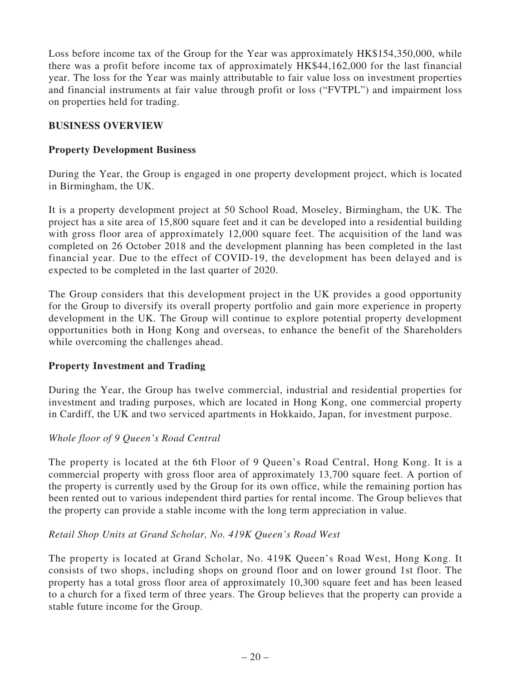Loss before income tax of the Group for the Year was approximately HK\$154,350,000, while there was a profit before income tax of approximately HK\$44,162,000 for the last financial year. The loss for the Year was mainly attributable to fair value loss on investment properties and financial instruments at fair value through profit or loss ("FVTPL") and impairment loss on properties held for trading.

## **BUSINESS OVERVIEW**

## **Property Development Business**

During the Year, the Group is engaged in one property development project, which is located in Birmingham, the UK.

It is a property development project at 50 School Road, Moseley, Birmingham, the UK. The project has a site area of 15,800 square feet and it can be developed into a residential building with gross floor area of approximately 12,000 square feet. The acquisition of the land was completed on 26 October 2018 and the development planning has been completed in the last financial year. Due to the effect of COVID-19, the development has been delayed and is expected to be completed in the last quarter of 2020.

The Group considers that this development project in the UK provides a good opportunity for the Group to diversify its overall property portfolio and gain more experience in property development in the UK. The Group will continue to explore potential property development opportunities both in Hong Kong and overseas, to enhance the benefit of the Shareholders while overcoming the challenges ahead.

## **Property Investment and Trading**

During the Year, the Group has twelve commercial, industrial and residential properties for investment and trading purposes, which are located in Hong Kong, one commercial property in Cardiff, the UK and two serviced apartments in Hokkaido, Japan, for investment purpose.

## *Whole floor of 9 Queen's Road Central*

The property is located at the 6th Floor of 9 Queen's Road Central, Hong Kong. It is a commercial property with gross floor area of approximately 13,700 square feet. A portion of the property is currently used by the Group for its own office, while the remaining portion has been rented out to various independent third parties for rental income. The Group believes that the property can provide a stable income with the long term appreciation in value.

## *Retail Shop Units at Grand Scholar, No. 419K Queen's Road West*

The property is located at Grand Scholar, No. 419K Queen's Road West, Hong Kong. It consists of two shops, including shops on ground floor and on lower ground 1st floor. The property has a total gross floor area of approximately 10,300 square feet and has been leased to a church for a fixed term of three years. The Group believes that the property can provide a stable future income for the Group.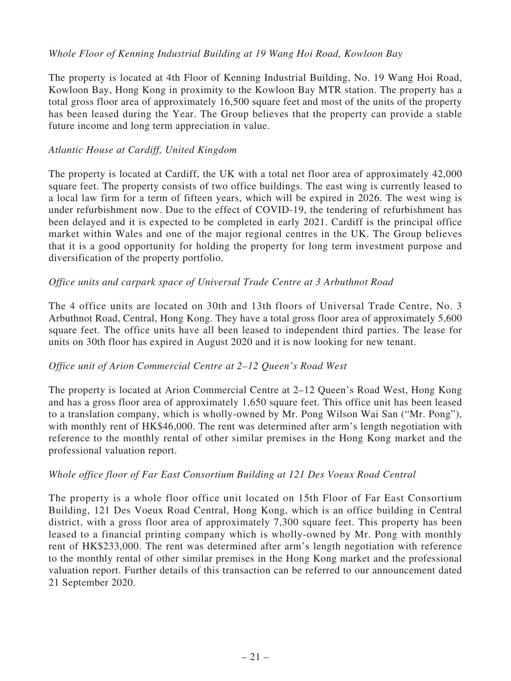#### *Whole Floor of Kenning Industrial Building at 19 Wang Hoi Road, Kowloon Bay*

The property is located at 4th Floor of Kenning Industrial Building, No. 19 Wang Hoi Road, Kowloon Bay, Hong Kong in proximity to the Kowloon Bay MTR station. The property has a total gross floor area of approximately 16,500 square feet and most of the units of the property has been leased during the Year. The Group believes that the property can provide a stable future income and long term appreciation in value.

#### *Atlantic House at Cardiff, United Kingdom*

The property is located at Cardiff, the UK with a total net floor area of approximately 42,000 square feet. The property consists of two office buildings. The east wing is currently leased to a local law firm for a term of fifteen years, which will be expired in 2026. The west wing is under refurbishment now. Due to the effect of COVID-19, the tendering of refurbishment has been delayed and it is expected to be completed in early 2021. Cardiff is the principal office market within Wales and one of the major regional centres in the UK. The Group believes that it is a good opportunity for holding the property for long term investment purpose and diversification of the property portfolio.

#### *Office units and carpark space of Universal Trade Centre at 3 Arbuthnot Road*

The 4 office units are located on 30th and 13th floors of Universal Trade Centre, No. 3 Arbuthnot Road, Central, Hong Kong. They have a total gross floor area of approximately 5,600 square feet. The office units have all been leased to independent third parties. The lease for units on 30th floor has expired in August 2020 and it is now looking for new tenant.

## *Office unit of Arion Commercial Centre at 2–12 Queen's Road West*

The property is located at Arion Commercial Centre at 2–12 Queen's Road West, Hong Kong and has a gross floor area of approximately 1,650 square feet. This office unit has been leased to a translation company, which is wholly-owned by Mr. Pong Wilson Wai San ("Mr. Pong"), with monthly rent of HK\$46,000. The rent was determined after arm's length negotiation with reference to the monthly rental of other similar premises in the Hong Kong market and the professional valuation report.

#### *Whole office floor of Far East Consortium Building at 121 Des Voeux Road Central*

The property is a whole floor office unit located on 15th Floor of Far East Consortium Building, 121 Des Voeux Road Central, Hong Kong, which is an office building in Central district, with a gross floor area of approximately 7,300 square feet. This property has been leased to a financial printing company which is wholly-owned by Mr. Pong with monthly rent of HK\$233,000. The rent was determined after arm's length negotiation with reference to the monthly rental of other similar premises in the Hong Kong market and the professional valuation report. Further details of this transaction can be referred to our announcement dated 21 September 2020.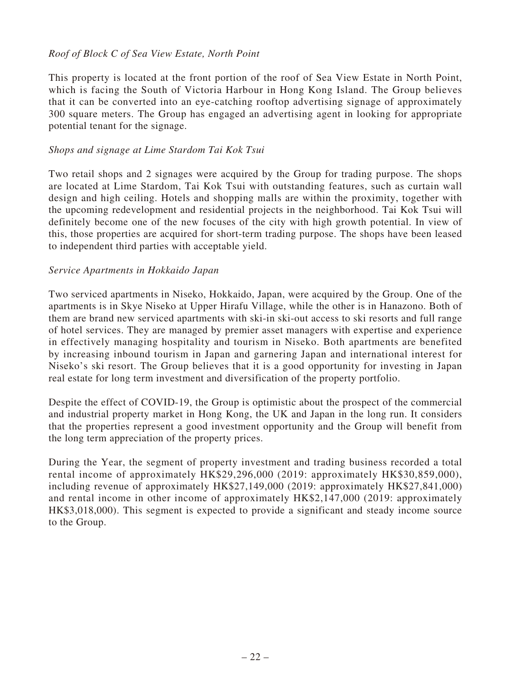#### *Roof of Block C of Sea View Estate, North Point*

This property is located at the front portion of the roof of Sea View Estate in North Point, which is facing the South of Victoria Harbour in Hong Kong Island. The Group believes that it can be converted into an eye-catching rooftop advertising signage of approximately 300 square meters. The Group has engaged an advertising agent in looking for appropriate potential tenant for the signage.

#### *Shops and signage at Lime Stardom Tai Kok Tsui*

Two retail shops and 2 signages were acquired by the Group for trading purpose. The shops are located at Lime Stardom, Tai Kok Tsui with outstanding features, such as curtain wall design and high ceiling. Hotels and shopping malls are within the proximity, together with the upcoming redevelopment and residential projects in the neighborhood. Tai Kok Tsui will definitely become one of the new focuses of the city with high growth potential. In view of this, those properties are acquired for short-term trading purpose. The shops have been leased to independent third parties with acceptable yield.

#### *Service Apartments in Hokkaido Japan*

Two serviced apartments in Niseko, Hokkaido, Japan, were acquired by the Group. One of the apartments is in Skye Niseko at Upper Hirafu Village, while the other is in Hanazono. Both of them are brand new serviced apartments with ski-in ski-out access to ski resorts and full range of hotel services. They are managed by premier asset managers with expertise and experience in effectively managing hospitality and tourism in Niseko. Both apartments are benefited by increasing inbound tourism in Japan and garnering Japan and international interest for Niseko's ski resort. The Group believes that it is a good opportunity for investing in Japan real estate for long term investment and diversification of the property portfolio.

Despite the effect of COVID-19, the Group is optimistic about the prospect of the commercial and industrial property market in Hong Kong, the UK and Japan in the long run. It considers that the properties represent a good investment opportunity and the Group will benefit from the long term appreciation of the property prices.

During the Year, the segment of property investment and trading business recorded a total rental income of approximately HK\$29,296,000 (2019: approximately HK\$30,859,000), including revenue of approximately HK\$27,149,000 (2019: approximately HK\$27,841,000) and rental income in other income of approximately HK\$2,147,000 (2019: approximately HK\$3,018,000). This segment is expected to provide a significant and steady income source to the Group.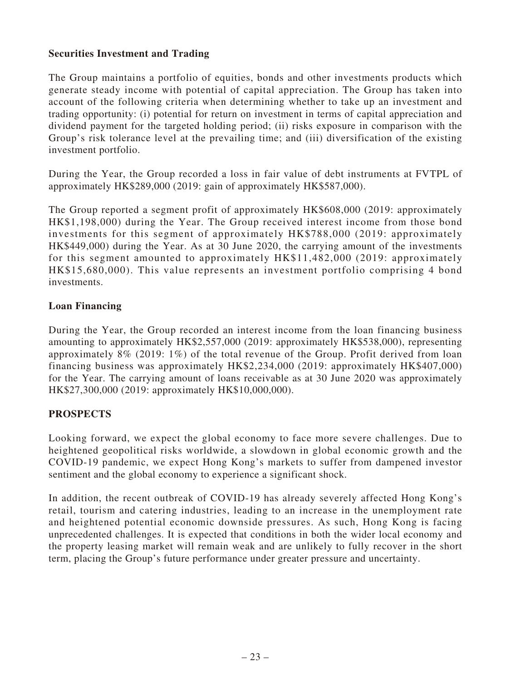## **Securities Investment and Trading**

The Group maintains a portfolio of equities, bonds and other investments products which generate steady income with potential of capital appreciation. The Group has taken into account of the following criteria when determining whether to take up an investment and trading opportunity: (i) potential for return on investment in terms of capital appreciation and dividend payment for the targeted holding period; (ii) risks exposure in comparison with the Group's risk tolerance level at the prevailing time; and (iii) diversification of the existing investment portfolio.

During the Year, the Group recorded a loss in fair value of debt instruments at FVTPL of approximately HK\$289,000 (2019: gain of approximately HK\$587,000).

The Group reported a segment profit of approximately HK\$608,000 (2019: approximately HK\$1,198,000) during the Year. The Group received interest income from those bond investments for this segment of approximately HK\$788,000 (2019: approximately HK\$449,000) during the Year. As at 30 June 2020, the carrying amount of the investments for this segment amounted to approximately HK\$11,482,000 (2019: approximately HK\$15,680,000). This value represents an investment portfolio comprising 4 bond investments.

## **Loan Financing**

During the Year, the Group recorded an interest income from the loan financing business amounting to approximately HK\$2,557,000 (2019: approximately HK\$538,000), representing approximately 8% (2019: 1%) of the total revenue of the Group. Profit derived from loan financing business was approximately HK\$2,234,000 (2019: approximately HK\$407,000) for the Year. The carrying amount of loans receivable as at 30 June 2020 was approximately HK\$27,300,000 (2019: approximately HK\$10,000,000).

## **PROSPECTS**

Looking forward, we expect the global economy to face more severe challenges. Due to heightened geopolitical risks worldwide, a slowdown in global economic growth and the COVID-19 pandemic, we expect Hong Kong's markets to suffer from dampened investor sentiment and the global economy to experience a significant shock.

In addition, the recent outbreak of COVID-19 has already severely affected Hong Kong's retail, tourism and catering industries, leading to an increase in the unemployment rate and heightened potential economic downside pressures. As such, Hong Kong is facing unprecedented challenges. It is expected that conditions in both the wider local economy and the property leasing market will remain weak and are unlikely to fully recover in the short term, placing the Group's future performance under greater pressure and uncertainty.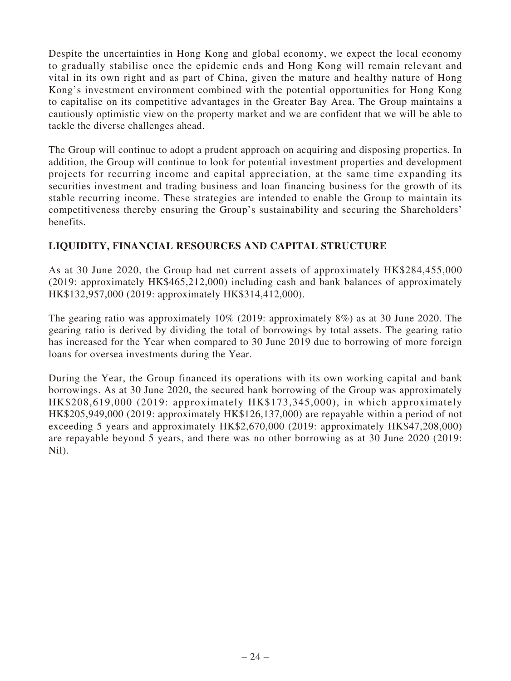Despite the uncertainties in Hong Kong and global economy, we expect the local economy to gradually stabilise once the epidemic ends and Hong Kong will remain relevant and vital in its own right and as part of China, given the mature and healthy nature of Hong Kong's investment environment combined with the potential opportunities for Hong Kong to capitalise on its competitive advantages in the Greater Bay Area. The Group maintains a cautiously optimistic view on the property market and we are confident that we will be able to tackle the diverse challenges ahead.

The Group will continue to adopt a prudent approach on acquiring and disposing properties. In addition, the Group will continue to look for potential investment properties and development projects for recurring income and capital appreciation, at the same time expanding its securities investment and trading business and loan financing business for the growth of its stable recurring income. These strategies are intended to enable the Group to maintain its competitiveness thereby ensuring the Group's sustainability and securing the Shareholders' benefits.

# **LIQUIDITY, FINANCIAL RESOURCES AND CAPITAL STRUCTURE**

As at 30 June 2020, the Group had net current assets of approximately HK\$284,455,000 (2019: approximately HK\$465,212,000) including cash and bank balances of approximately HK\$132,957,000 (2019: approximately HK\$314,412,000).

The gearing ratio was approximately 10% (2019: approximately 8%) as at 30 June 2020. The gearing ratio is derived by dividing the total of borrowings by total assets. The gearing ratio has increased for the Year when compared to 30 June 2019 due to borrowing of more foreign loans for oversea investments during the Year.

During the Year, the Group financed its operations with its own working capital and bank borrowings. As at 30 June 2020, the secured bank borrowing of the Group was approximately HK\$208,619,000 (2019: approximately HK\$173,345,000), in which approximately HK\$205,949,000 (2019: approximately HK\$126,137,000) are repayable within a period of not exceeding 5 years and approximately HK\$2,670,000 (2019: approximately HK\$47,208,000) are repayable beyond 5 years, and there was no other borrowing as at 30 June 2020 (2019: Nil).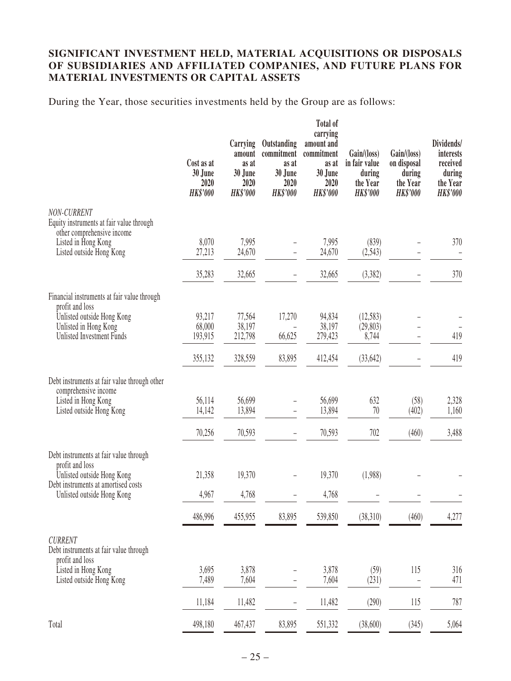## **SIGNIFICANT INVESTMENT HELD, MATERIAL ACQUISITIONS OR DISPOSALS OF SUBSIDIARIES AND AFFILIATED COMPANIES, AND FUTURE PLANS FOR MATERIAL INVESTMENTS OR CAPITAL ASSETS**

During the Year, those securities investments held by the Group are as follows:

|                                                                   | Cost as at<br>30 June<br>2020<br><b>HK\$'000</b> | Carrying<br>amount<br>as at<br>30 June<br>2020<br><b>HK\$'000</b> | Outstanding<br>commitment<br>as at<br>30 June<br>2020<br><b>HK\$'000</b> | Total of<br>carrying<br>amount and<br>commitment<br>as at<br>30 June<br>2020<br><b>HK\$'000</b> | Gain/(loss)<br>in fair value<br>during<br>the Year<br><b>HK\$'000</b> | Gain/(loss)<br>on disposal<br>during<br>the Year<br><b>HK\$'000</b> | Dividends/<br>interests<br>received<br>during<br>the Year<br><b>HK\$'000</b> |
|-------------------------------------------------------------------|--------------------------------------------------|-------------------------------------------------------------------|--------------------------------------------------------------------------|-------------------------------------------------------------------------------------------------|-----------------------------------------------------------------------|---------------------------------------------------------------------|------------------------------------------------------------------------------|
| NON-CURRENT<br>Equity instruments at fair value through           |                                                  |                                                                   |                                                                          |                                                                                                 |                                                                       |                                                                     |                                                                              |
| other comprehensive income                                        |                                                  |                                                                   |                                                                          |                                                                                                 |                                                                       |                                                                     |                                                                              |
| Listed in Hong Kong<br>Listed outside Hong Kong                   | 8,070<br>27,213                                  | 7,995<br>24,670                                                   |                                                                          | 7,995<br>24,670                                                                                 | (839)<br>(2,543)                                                      |                                                                     | 370                                                                          |
|                                                                   |                                                  |                                                                   |                                                                          |                                                                                                 |                                                                       |                                                                     |                                                                              |
|                                                                   | 35,283                                           | 32,665                                                            |                                                                          | 32,665                                                                                          | (3,382)                                                               |                                                                     | 370                                                                          |
| Financial instruments at fair value through<br>profit and loss    |                                                  |                                                                   |                                                                          |                                                                                                 |                                                                       |                                                                     |                                                                              |
| Unlisted outside Hong Kong                                        | 93,217                                           | 77,564                                                            | 17,270                                                                   | 94,834                                                                                          | (12, 583)                                                             |                                                                     |                                                                              |
| Unlisted in Hong Kong                                             | 68,000                                           | 38,197                                                            |                                                                          | 38,197                                                                                          | (29, 803)                                                             |                                                                     |                                                                              |
| Unlisted Investment Funds                                         | 193,915                                          | 212,798                                                           | 66,625                                                                   | 279,423                                                                                         | 8,744                                                                 |                                                                     | 419                                                                          |
|                                                                   | 355,132                                          | 328,559                                                           | 83,895                                                                   | 412,454                                                                                         | (33, 642)                                                             |                                                                     | 419                                                                          |
| Debt instruments at fair value through other                      |                                                  |                                                                   |                                                                          |                                                                                                 |                                                                       |                                                                     |                                                                              |
| comprehensive income                                              |                                                  |                                                                   |                                                                          |                                                                                                 |                                                                       |                                                                     |                                                                              |
| Listed in Hong Kong<br>Listed outside Hong Kong                   | 56,114<br>14,142                                 | 56,699<br>13,894                                                  |                                                                          | 56,699<br>13,894                                                                                | 632<br>70                                                             | (58)<br>(402)                                                       | 2,328<br>1,160                                                               |
|                                                                   |                                                  |                                                                   |                                                                          |                                                                                                 |                                                                       |                                                                     |                                                                              |
|                                                                   | 70,256                                           | 70,593                                                            |                                                                          | 70,593                                                                                          | 702                                                                   | (460)                                                               | 3,488                                                                        |
| Debt instruments at fair value through                            |                                                  |                                                                   |                                                                          |                                                                                                 |                                                                       |                                                                     |                                                                              |
| profit and loss<br>Unlisted outside Hong Kong                     | 21,358                                           | 19,370                                                            |                                                                          | 19,370                                                                                          | (1,988)                                                               |                                                                     |                                                                              |
| Debt instruments at amortised costs<br>Unlisted outside Hong Kong | 4,967                                            | 4,768                                                             |                                                                          | 4,768                                                                                           |                                                                       |                                                                     |                                                                              |
|                                                                   |                                                  |                                                                   |                                                                          |                                                                                                 |                                                                       |                                                                     |                                                                              |
|                                                                   | 486,996                                          | 455,955                                                           | 83,895                                                                   | 539,850                                                                                         | (38,310)                                                              | (460)                                                               | 4,277                                                                        |
| <b>CURRENT</b><br>Debt instruments at fair value through          |                                                  |                                                                   |                                                                          |                                                                                                 |                                                                       |                                                                     |                                                                              |
| profit and loss<br>Listed in Hong Kong                            | 3,695                                            | 3,878                                                             |                                                                          | 3,878                                                                                           | (59)                                                                  | 115                                                                 | 316                                                                          |
| Listed outside Hong Kong                                          | 7,489                                            | 7,604                                                             | $\overline{a}$                                                           | 7,604                                                                                           | (231)                                                                 | $\overline{a}$                                                      | 471                                                                          |
|                                                                   | 11,184                                           | 11,482                                                            | -                                                                        | 11,482                                                                                          | (290)                                                                 | 115                                                                 | 787                                                                          |
| Total                                                             | 498,180                                          | 467,437                                                           | 83,895                                                                   | 551,332                                                                                         | (38,600)                                                              | (345)                                                               | 5,064                                                                        |
|                                                                   |                                                  |                                                                   |                                                                          |                                                                                                 |                                                                       |                                                                     |                                                                              |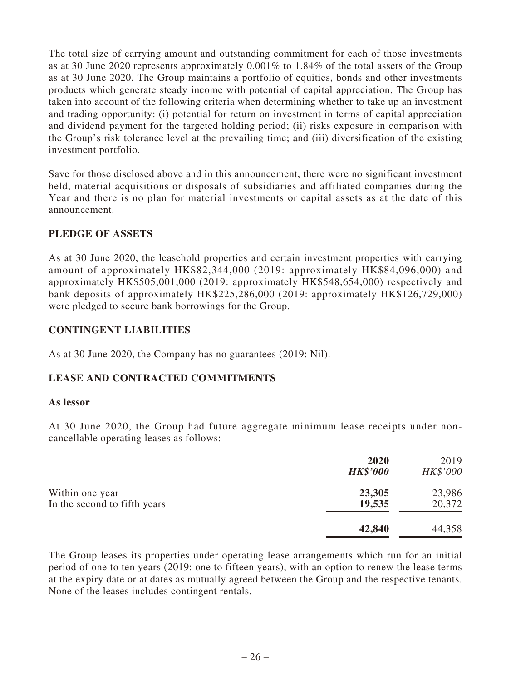The total size of carrying amount and outstanding commitment for each of those investments as at 30 June 2020 represents approximately 0.001% to 1.84% of the total assets of the Group as at 30 June 2020. The Group maintains a portfolio of equities, bonds and other investments products which generate steady income with potential of capital appreciation. The Group has taken into account of the following criteria when determining whether to take up an investment and trading opportunity: (i) potential for return on investment in terms of capital appreciation and dividend payment for the targeted holding period; (ii) risks exposure in comparison with the Group's risk tolerance level at the prevailing time; and (iii) diversification of the existing investment portfolio.

Save for those disclosed above and in this announcement, there were no significant investment held, material acquisitions or disposals of subsidiaries and affiliated companies during the Year and there is no plan for material investments or capital assets as at the date of this announcement.

## **PLEDGE OF ASSETS**

As at 30 June 2020, the leasehold properties and certain investment properties with carrying amount of approximately HK\$82,344,000 (2019: approximately HK\$84,096,000) and approximately HK\$505,001,000 (2019: approximately HK\$548,654,000) respectively and bank deposits of approximately HK\$225,286,000 (2019: approximately HK\$126,729,000) were pledged to secure bank borrowings for the Group.

## **CONTINGENT LIABILITIES**

As at 30 June 2020, the Company has no guarantees (2019: Nil).

# **LEASE AND CONTRACTED COMMITMENTS**

#### **As lessor**

At 30 June 2020, the Group had future aggregate minimum lease receipts under noncancellable operating leases as follows:

|                                                 | 2020<br><b>HK\$'000</b> | 2019<br>HK\$'000 |
|-------------------------------------------------|-------------------------|------------------|
| Within one year<br>In the second to fifth years | 23,305<br>19,535        | 23,986<br>20,372 |
|                                                 | 42,840                  | 44,358           |

The Group leases its properties under operating lease arrangements which run for an initial period of one to ten years (2019: one to fifteen years), with an option to renew the lease terms at the expiry date or at dates as mutually agreed between the Group and the respective tenants. None of the leases includes contingent rentals.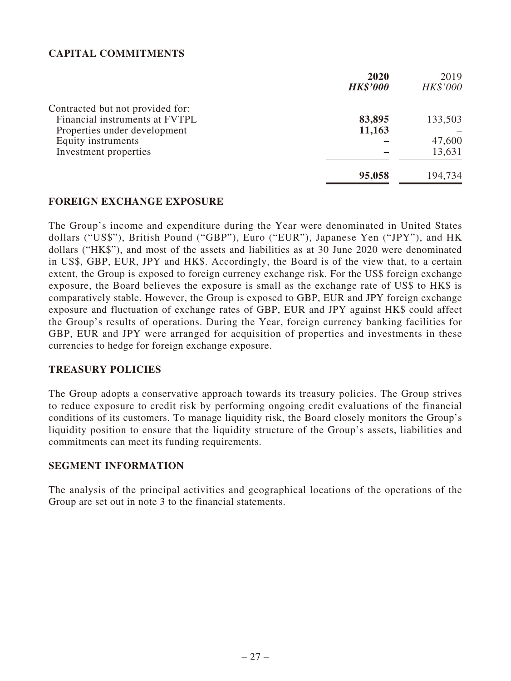# **CAPITAL COMMITMENTS**

|                                  | 2020            | 2019     |
|----------------------------------|-----------------|----------|
|                                  | <b>HK\$'000</b> | HK\$'000 |
| Contracted but not provided for: |                 |          |
| Financial instruments at FVTPL   | 83,895          | 133,503  |
| Properties under development     | 11,163          |          |
| Equity instruments               |                 | 47,600   |
| Investment properties            |                 | 13,631   |
|                                  | 95,058          | 194,734  |

#### **FOREIGN EXCHANGE EXPOSURE**

The Group's income and expenditure during the Year were denominated in United States dollars ("US\$"), British Pound ("GBP"), Euro ("EUR"), Japanese Yen ("JPY"), and HK dollars ("HK\$"), and most of the assets and liabilities as at 30 June 2020 were denominated in US\$, GBP, EUR, JPY and HK\$. Accordingly, the Board is of the view that, to a certain extent, the Group is exposed to foreign currency exchange risk. For the US\$ foreign exchange exposure, the Board believes the exposure is small as the exchange rate of US\$ to HK\$ is comparatively stable. However, the Group is exposed to GBP, EUR and JPY foreign exchange exposure and fluctuation of exchange rates of GBP, EUR and JPY against HK\$ could affect the Group's results of operations. During the Year, foreign currency banking facilities for GBP, EUR and JPY were arranged for acquisition of properties and investments in these currencies to hedge for foreign exchange exposure.

#### **TREASURY POLICIES**

The Group adopts a conservative approach towards its treasury policies. The Group strives to reduce exposure to credit risk by performing ongoing credit evaluations of the financial conditions of its customers. To manage liquidity risk, the Board closely monitors the Group's liquidity position to ensure that the liquidity structure of the Group's assets, liabilities and commitments can meet its funding requirements.

#### **SEGMENT INFORMATION**

The analysis of the principal activities and geographical locations of the operations of the Group are set out in note 3 to the financial statements.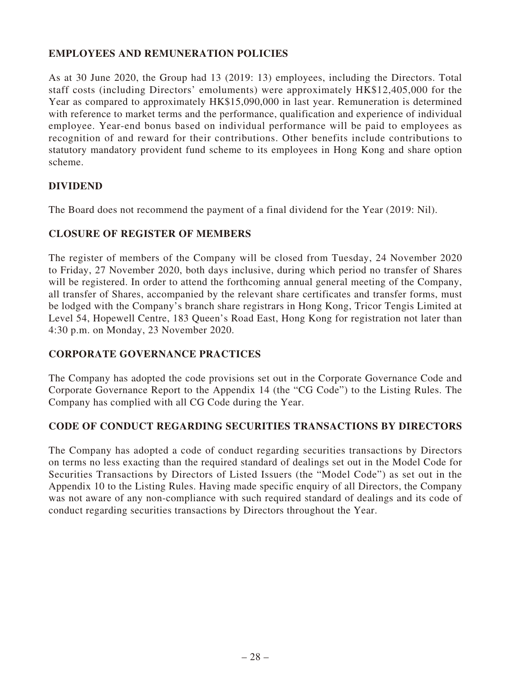# **EMPLOYEES AND REMUNERATION POLICIES**

As at 30 June 2020, the Group had 13 (2019: 13) employees, including the Directors. Total staff costs (including Directors' emoluments) were approximately HK\$12,405,000 for the Year as compared to approximately HK\$15,090,000 in last year. Remuneration is determined with reference to market terms and the performance, qualification and experience of individual employee. Year-end bonus based on individual performance will be paid to employees as recognition of and reward for their contributions. Other benefits include contributions to statutory mandatory provident fund scheme to its employees in Hong Kong and share option scheme.

## **DIVIDEND**

The Board does not recommend the payment of a final dividend for the Year (2019: Nil).

## **CLOSURE OF REGISTER OF MEMBERS**

The register of members of the Company will be closed from Tuesday, 24 November 2020 to Friday, 27 November 2020, both days inclusive, during which period no transfer of Shares will be registered. In order to attend the forthcoming annual general meeting of the Company, all transfer of Shares, accompanied by the relevant share certificates and transfer forms, must be lodged with the Company's branch share registrars in Hong Kong, Tricor Tengis Limited at Level 54, Hopewell Centre, 183 Queen's Road East, Hong Kong for registration not later than 4:30 p.m. on Monday, 23 November 2020.

## **CORPORATE GOVERNANCE PRACTICES**

The Company has adopted the code provisions set out in the Corporate Governance Code and Corporate Governance Report to the Appendix 14 (the "CG Code") to the Listing Rules. The Company has complied with all CG Code during the Year.

## **CODE OF CONDUCT REGARDING SECURITIES TRANSACTIONS BY DIRECTORS**

The Company has adopted a code of conduct regarding securities transactions by Directors on terms no less exacting than the required standard of dealings set out in the Model Code for Securities Transactions by Directors of Listed Issuers (the "Model Code") as set out in the Appendix 10 to the Listing Rules. Having made specific enquiry of all Directors, the Company was not aware of any non-compliance with such required standard of dealings and its code of conduct regarding securities transactions by Directors throughout the Year.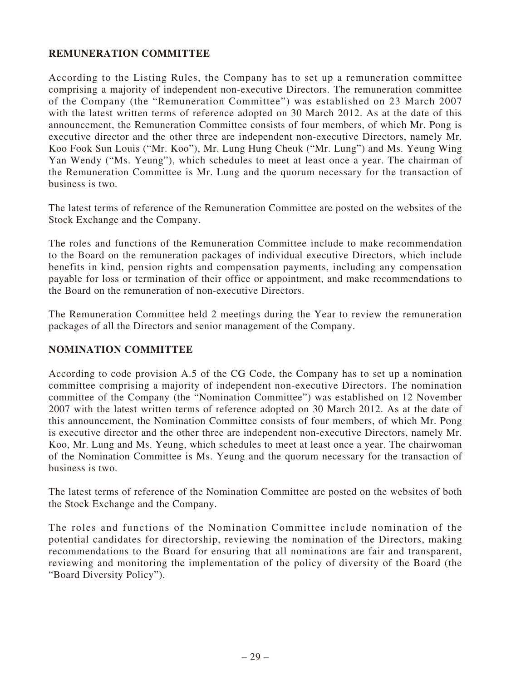## **REMUNERATION COMMITTEE**

According to the Listing Rules, the Company has to set up a remuneration committee comprising a majority of independent non-executive Directors. The remuneration committee of the Company (the "Remuneration Committee") was established on 23 March 2007 with the latest written terms of reference adopted on 30 March 2012. As at the date of this announcement, the Remuneration Committee consists of four members, of which Mr. Pong is executive director and the other three are independent non-executive Directors, namely Mr. Koo Fook Sun Louis ("Mr. Koo"), Mr. Lung Hung Cheuk ("Mr. Lung") and Ms. Yeung Wing Yan Wendy ("Ms. Yeung"), which schedules to meet at least once a year. The chairman of the Remuneration Committee is Mr. Lung and the quorum necessary for the transaction of business is two.

The latest terms of reference of the Remuneration Committee are posted on the websites of the Stock Exchange and the Company.

The roles and functions of the Remuneration Committee include to make recommendation to the Board on the remuneration packages of individual executive Directors, which include benefits in kind, pension rights and compensation payments, including any compensation payable for loss or termination of their office or appointment, and make recommendations to the Board on the remuneration of non-executive Directors.

The Remuneration Committee held 2 meetings during the Year to review the remuneration packages of all the Directors and senior management of the Company.

## **NOMINATION COMMITTEE**

According to code provision A.5 of the CG Code, the Company has to set up a nomination committee comprising a majority of independent non-executive Directors. The nomination committee of the Company (the "Nomination Committee") was established on 12 November 2007 with the latest written terms of reference adopted on 30 March 2012. As at the date of this announcement, the Nomination Committee consists of four members, of which Mr. Pong is executive director and the other three are independent non-executive Directors, namely Mr. Koo, Mr. Lung and Ms. Yeung, which schedules to meet at least once a year. The chairwoman of the Nomination Committee is Ms. Yeung and the quorum necessary for the transaction of business is two.

The latest terms of reference of the Nomination Committee are posted on the websites of both the Stock Exchange and the Company.

The roles and functions of the Nomination Committee include nomination of the potential candidates for directorship, reviewing the nomination of the Directors, making recommendations to the Board for ensuring that all nominations are fair and transparent, reviewing and monitoring the implementation of the policy of diversity of the Board (the "Board Diversity Policy").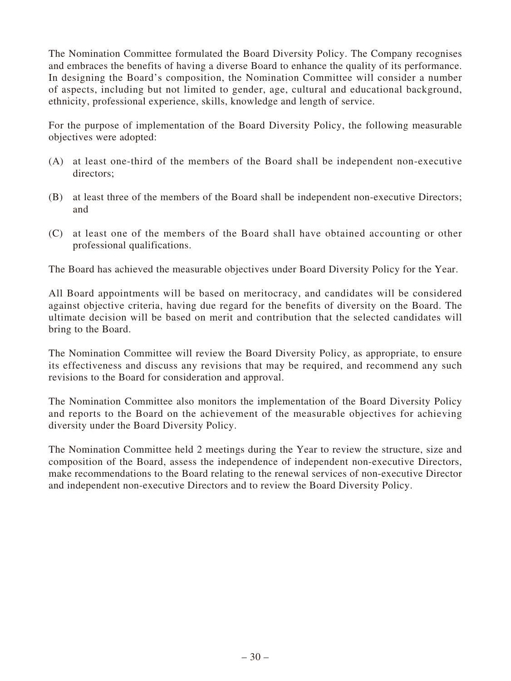The Nomination Committee formulated the Board Diversity Policy. The Company recognises and embraces the benefits of having a diverse Board to enhance the quality of its performance. In designing the Board's composition, the Nomination Committee will consider a number of aspects, including but not limited to gender, age, cultural and educational background, ethnicity, professional experience, skills, knowledge and length of service.

For the purpose of implementation of the Board Diversity Policy, the following measurable objectives were adopted:

- (A) at least one-third of the members of the Board shall be independent non-executive directors;
- (B) at least three of the members of the Board shall be independent non-executive Directors; and
- (C) at least one of the members of the Board shall have obtained accounting or other professional qualifications.

The Board has achieved the measurable objectives under Board Diversity Policy for the Year.

All Board appointments will be based on meritocracy, and candidates will be considered against objective criteria, having due regard for the benefits of diversity on the Board. The ultimate decision will be based on merit and contribution that the selected candidates will bring to the Board.

The Nomination Committee will review the Board Diversity Policy, as appropriate, to ensure its effectiveness and discuss any revisions that may be required, and recommend any such revisions to the Board for consideration and approval.

The Nomination Committee also monitors the implementation of the Board Diversity Policy and reports to the Board on the achievement of the measurable objectives for achieving diversity under the Board Diversity Policy.

The Nomination Committee held 2 meetings during the Year to review the structure, size and composition of the Board, assess the independence of independent non-executive Directors, make recommendations to the Board relating to the renewal services of non-executive Director and independent non-executive Directors and to review the Board Diversity Policy.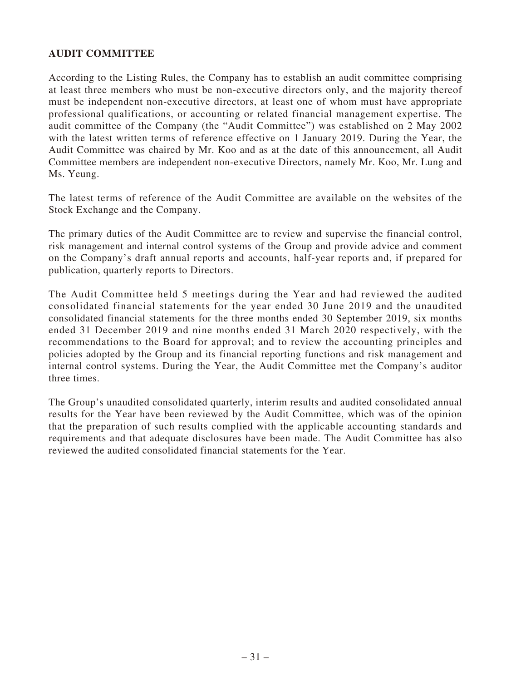# **AUDIT COMMITTEE**

According to the Listing Rules, the Company has to establish an audit committee comprising at least three members who must be non-executive directors only, and the majority thereof must be independent non-executive directors, at least one of whom must have appropriate professional qualifications, or accounting or related financial management expertise. The audit committee of the Company (the "Audit Committee") was established on 2 May 2002 with the latest written terms of reference effective on 1 January 2019. During the Year, the Audit Committee was chaired by Mr. Koo and as at the date of this announcement, all Audit Committee members are independent non-executive Directors, namely Mr. Koo, Mr. Lung and Ms. Yeung.

The latest terms of reference of the Audit Committee are available on the websites of the Stock Exchange and the Company.

The primary duties of the Audit Committee are to review and supervise the financial control, risk management and internal control systems of the Group and provide advice and comment on the Company's draft annual reports and accounts, half-year reports and, if prepared for publication, quarterly reports to Directors.

The Audit Committee held 5 meetings during the Year and had reviewed the audited consolidated financial statements for the year ended 30 June 2019 and the unaudited consolidated financial statements for the three months ended 30 September 2019, six months ended 31 December 2019 and nine months ended 31 March 2020 respectively, with the recommendations to the Board for approval; and to review the accounting principles and policies adopted by the Group and its financial reporting functions and risk management and internal control systems. During the Year, the Audit Committee met the Company's auditor three times.

The Group's unaudited consolidated quarterly, interim results and audited consolidated annual results for the Year have been reviewed by the Audit Committee, which was of the opinion that the preparation of such results complied with the applicable accounting standards and requirements and that adequate disclosures have been made. The Audit Committee has also reviewed the audited consolidated financial statements for the Year.